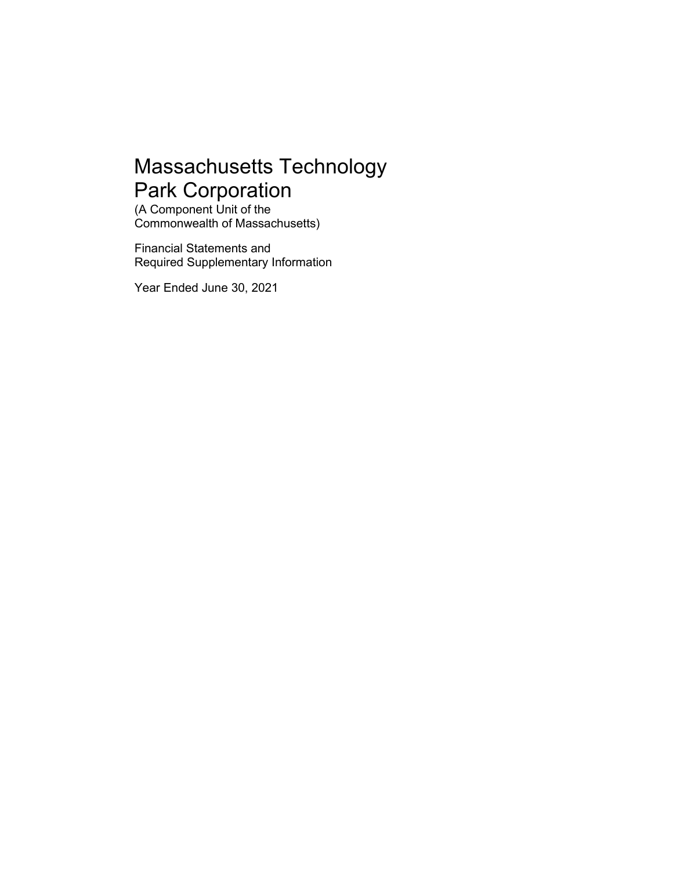(A Component Unit of the Commonwealth of Massachusetts)

Financial Statements and Required Supplementary Information

Year Ended June 30, 2021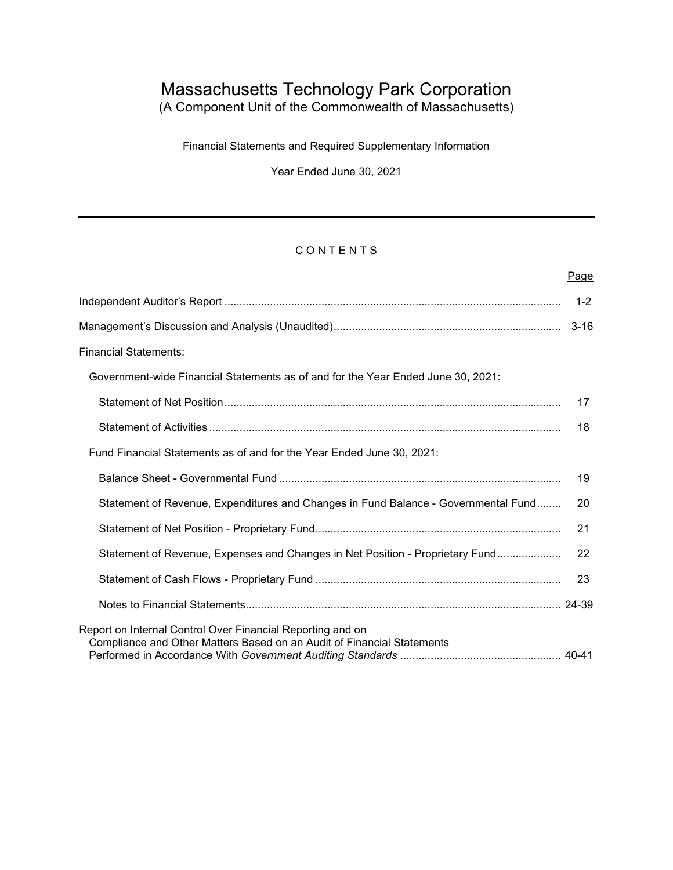### Massachusetts Technology Park Corporation (A Component Unit of the Commonwealth of Massachusetts)

Financial Statements and Required Supplementary Information

Year Ended June 30, 2021

### CONTENTS

|                                                                                                                                      | Page     |
|--------------------------------------------------------------------------------------------------------------------------------------|----------|
|                                                                                                                                      | $1 - 2$  |
|                                                                                                                                      | $3 - 16$ |
| <b>Financial Statements:</b>                                                                                                         |          |
| Government-wide Financial Statements as of and for the Year Ended June 30, 2021:                                                     |          |
|                                                                                                                                      | 17       |
|                                                                                                                                      | 18       |
| Fund Financial Statements as of and for the Year Ended June 30, 2021:                                                                |          |
|                                                                                                                                      | 19       |
| Statement of Revenue, Expenditures and Changes in Fund Balance - Governmental Fund                                                   | 20       |
|                                                                                                                                      | 21       |
| Statement of Revenue, Expenses and Changes in Net Position - Proprietary Fund                                                        | 22       |
|                                                                                                                                      | 23       |
|                                                                                                                                      |          |
| Report on Internal Control Over Financial Reporting and on<br>Compliance and Other Matters Based on an Audit of Financial Statements |          |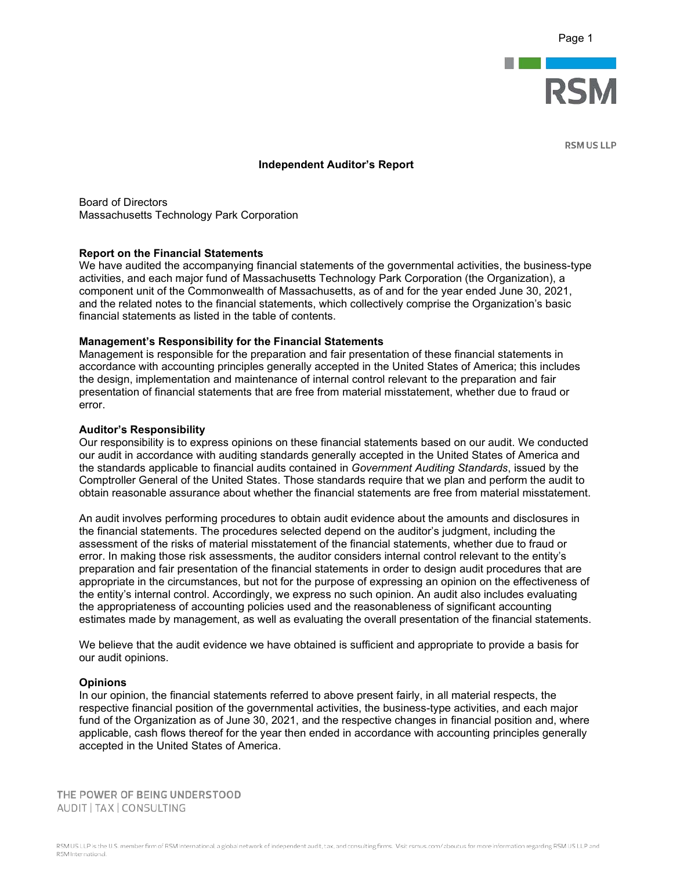

**RSM US LLP** 

#### **Independent Auditor's Report**

Board of Directors Massachusetts Technology Park Corporation

#### **Report on the Financial Statements**

We have audited the accompanying financial statements of the governmental activities, the business-type activities, and each major fund of Massachusetts Technology Park Corporation (the Organization), a component unit of the Commonwealth of Massachusetts, as of and for the year ended June 30, 2021, and the related notes to the financial statements, which collectively comprise the Organization's basic financial statements as listed in the table of contents.

#### **Management's Responsibility for the Financial Statements**

Management is responsible for the preparation and fair presentation of these financial statements in accordance with accounting principles generally accepted in the United States of America; this includes the design, implementation and maintenance of internal control relevant to the preparation and fair presentation of financial statements that are free from material misstatement, whether due to fraud or error.

#### **Auditor's Responsibility**

Our responsibility is to express opinions on these financial statements based on our audit. We conducted our audit in accordance with auditing standards generally accepted in the United States of America and the standards applicable to financial audits contained in *Government Auditing Standards*, issued by the Comptroller General of the United States. Those standards require that we plan and perform the audit to obtain reasonable assurance about whether the financial statements are free from material misstatement.

An audit involves performing procedures to obtain audit evidence about the amounts and disclosures in the financial statements. The procedures selected depend on the auditor's judgment, including the assessment of the risks of material misstatement of the financial statements, whether due to fraud or error. In making those risk assessments, the auditor considers internal control relevant to the entity's preparation and fair presentation of the financial statements in order to design audit procedures that are appropriate in the circumstances, but not for the purpose of expressing an opinion on the effectiveness of the entity's internal control. Accordingly, we express no such opinion. An audit also includes evaluating the appropriateness of accounting policies used and the reasonableness of significant accounting estimates made by management, as well as evaluating the overall presentation of the financial statements.

We believe that the audit evidence we have obtained is sufficient and appropriate to provide a basis for our audit opinions.

#### **Opinions**

In our opinion, the financial statements referred to above present fairly, in all material respects, the respective financial position of the governmental activities, the business-type activities, and each major fund of the Organization as of June 30, 2021, and the respective changes in financial position and, where applicable, cash flows thereof for the year then ended in accordance with accounting principles generally accepted in the United States of America.

THE POWER OF BEING UNDERSTOOD AUDIT | TAX | CONSULTING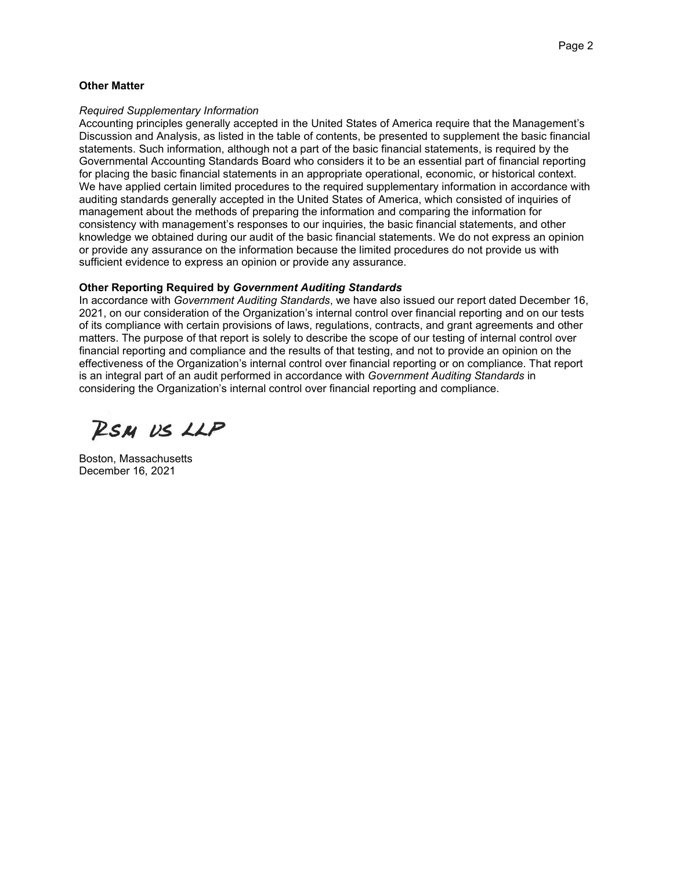#### **Other Matter**

#### *Required Supplementary Information*

Accounting principles generally accepted in the United States of America require that the Management's Discussion and Analysis, as listed in the table of contents, be presented to supplement the basic financial statements. Such information, although not a part of the basic financial statements, is required by the Governmental Accounting Standards Board who considers it to be an essential part of financial reporting for placing the basic financial statements in an appropriate operational, economic, or historical context. We have applied certain limited procedures to the required supplementary information in accordance with auditing standards generally accepted in the United States of America, which consisted of inquiries of management about the methods of preparing the information and comparing the information for consistency with management's responses to our inquiries, the basic financial statements, and other knowledge we obtained during our audit of the basic financial statements. We do not express an opinion or provide any assurance on the information because the limited procedures do not provide us with sufficient evidence to express an opinion or provide any assurance.

#### **Other Reporting Required by** *Government Auditing Standards*

In accordance with *Government Auditing Standards*, we have also issued our report dated December 16, 2021, on our consideration of the Organization's internal control over financial reporting and on our tests of its compliance with certain provisions of laws, regulations, contracts, and grant agreements and other matters. The purpose of that report is solely to describe the scope of our testing of internal control over financial reporting and compliance and the results of that testing, and not to provide an opinion on the effectiveness of the Organization's internal control over financial reporting or on compliance. That report is an integral part of an audit performed in accordance with *Government Auditing Standards* in considering the Organization's internal control over financial reporting and compliance.

RSM US LLP

Boston, Massachusetts December 16, 2021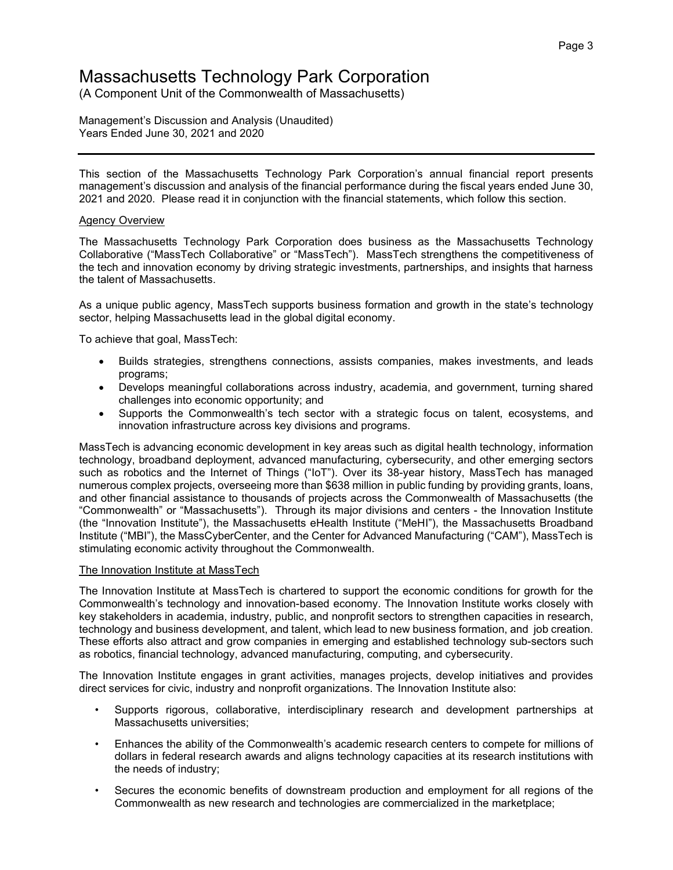(A Component Unit of the Commonwealth of Massachusetts)

Management's Discussion and Analysis (Unaudited) Years Ended June 30, 2021 and 2020

This section of the Massachusetts Technology Park Corporation's annual financial report presents management's discussion and analysis of the financial performance during the fiscal years ended June 30, 2021 and 2020. Please read it in conjunction with the financial statements, which follow this section.

#### Agency Overview

The Massachusetts Technology Park Corporation does business as the Massachusetts Technology Collaborative ("MassTech Collaborative" or "MassTech"). MassTech strengthens the competitiveness of the tech and innovation economy by driving strategic investments, partnerships, and insights that harness the talent of Massachusetts.

As a unique public agency, MassTech supports business formation and growth in the state's technology sector, helping Massachusetts lead in the global digital economy.

To achieve that goal, MassTech:

- Builds strategies, strengthens connections, assists companies, makes investments, and leads programs;
- Develops meaningful collaborations across industry, academia, and government, turning shared challenges into economic opportunity; and
- Supports the Commonwealth's tech sector with a strategic focus on talent, ecosystems, and innovation infrastructure across key divisions and programs.

MassTech is advancing economic development in key areas such as digital health technology, information technology, broadband deployment, advanced manufacturing, cybersecurity, and other emerging sectors such as robotics and the Internet of Things ("IoT"). Over its 38-year history, MassTech has managed numerous complex projects, overseeing more than \$638 million in public funding by providing grants, loans, and other financial assistance to thousands of projects across the Commonwealth of Massachusetts (the "Commonwealth" or "Massachusetts"). Through its major divisions and centers - the Innovation Institute (the "Innovation Institute"), the Massachusetts eHealth Institute ("MeHI"), the Massachusetts Broadband Institute ("MBI"), the MassCyberCenter, and the Center for Advanced Manufacturing ("CAM"), MassTech is stimulating economic activity throughout the Commonwealth.

#### The Innovation Institute at MassTech

The Innovation Institute at MassTech is chartered to support the economic conditions for growth for the Commonwealth's technology and innovation-based economy. The Innovation Institute works closely with key stakeholders in academia, industry, public, and nonprofit sectors to strengthen capacities in research, technology and business development, and talent, which lead to new business formation, and job creation. These efforts also attract and grow companies in emerging and established technology sub-sectors such as robotics, financial technology, advanced manufacturing, computing, and cybersecurity.

The Innovation Institute engages in grant activities, manages projects, develop initiatives and provides direct services for civic, industry and nonprofit organizations. The Innovation Institute also:

- Supports rigorous, collaborative, interdisciplinary research and development partnerships at Massachusetts universities;
- Enhances the ability of the Commonwealth's academic research centers to compete for millions of dollars in federal research awards and aligns technology capacities at its research institutions with the needs of industry;
- Secures the economic benefits of downstream production and employment for all regions of the Commonwealth as new research and technologies are commercialized in the marketplace;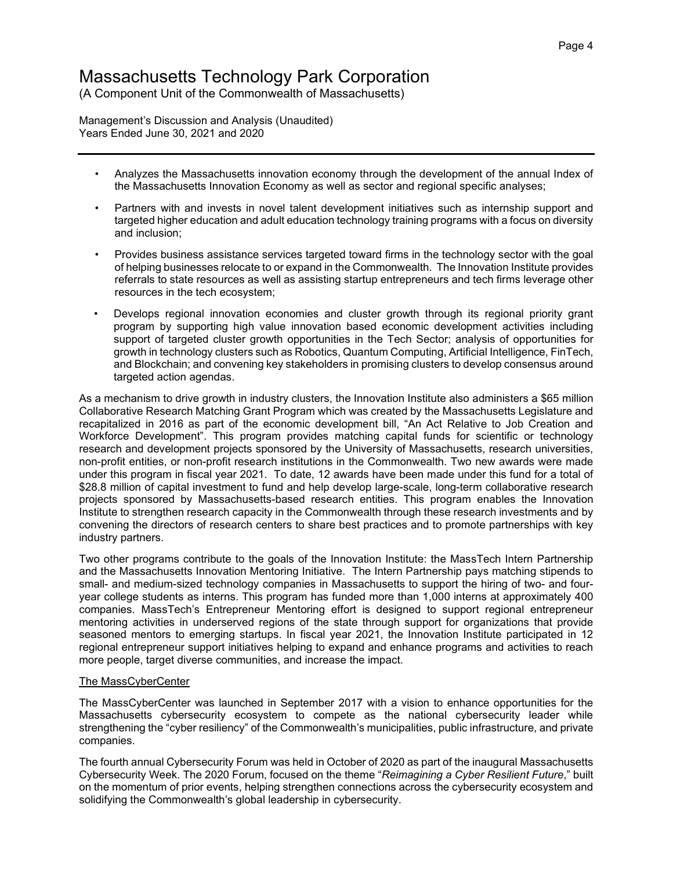(A Component Unit of the Commonwealth of Massachusetts)

Management's Discussion and Analysis (Unaudited) Years Ended June 30, 2021 and 2020

- Analyzes the Massachusetts innovation economy through the development of the annual Index of the Massachusetts Innovation Economy as well as sector and regional specific analyses;
- Partners with and invests in novel talent development initiatives such as internship support and targeted higher education and adult education technology training programs with a focus on diversity and inclusion;
- Provides business assistance services targeted toward firms in the technology sector with the goal of helping businesses relocate to or expand in the Commonwealth. The Innovation Institute provides referrals to state resources as well as assisting startup entrepreneurs and tech firms leverage other resources in the tech ecosystem;
- Develops regional innovation economies and cluster growth through its regional priority grant program by supporting high value innovation based economic development activities including support of targeted cluster growth opportunities in the Tech Sector; analysis of opportunities for growth in technology clusters such as Robotics, Quantum Computing, Artificial Intelligence, FinTech, and Blockchain; and convening key stakeholders in promising clusters to develop consensus around targeted action agendas.

As a mechanism to drive growth in industry clusters, the Innovation Institute also administers a \$65 million Collaborative Research Matching Grant Program which was created by the Massachusetts Legislature and recapitalized in 2016 as part of the economic development bill, "An Act Relative to Job Creation and Workforce Development". This program provides matching capital funds for scientific or technology research and development projects sponsored by the University of Massachusetts, research universities, non-profit entities, or non-profit research institutions in the Commonwealth. Two new awards were made under this program in fiscal year 2021. To date, 12 awards have been made under this fund for a total of \$28.8 million of capital investment to fund and help develop large-scale, long-term collaborative research projects sponsored by Massachusetts-based research entities. This program enables the Innovation Institute to strengthen research capacity in the Commonwealth through these research investments and by convening the directors of research centers to share best practices and to promote partnerships with key industry partners.

Two other programs contribute to the goals of the Innovation Institute: the MassTech Intern Partnership and the Massachusetts Innovation Mentoring Initiative. The Intern Partnership pays matching stipends to small- and medium-sized technology companies in Massachusetts to support the hiring of two- and fouryear college students as interns. This program has funded more than 1,000 interns at approximately 400 companies. MassTech's Entrepreneur Mentoring effort is designed to support regional entrepreneur mentoring activities in underserved regions of the state through support for organizations that provide seasoned mentors to emerging startups. In fiscal year 2021, the Innovation Institute participated in 12 regional entrepreneur support initiatives helping to expand and enhance programs and activities to reach more people, target diverse communities, and increase the impact.

#### The MassCyberCenter

The MassCyberCenter was launched in September 2017 with a vision to enhance opportunities for the Massachusetts cybersecurity ecosystem to compete as the national cybersecurity leader while strengthening the "cyber resiliency" of the Commonwealth's municipalities, public infrastructure, and private companies.

The fourth annual Cybersecurity Forum was held in October of 2020 as part of the inaugural Massachusetts Cybersecurity Week. The 2020 Forum, focused on the theme "*Reimagining a Cyber Resilient Future*," built on the momentum of prior events, helping strengthen connections across the cybersecurity ecosystem and solidifying the Commonwealth's global leadership in cybersecurity.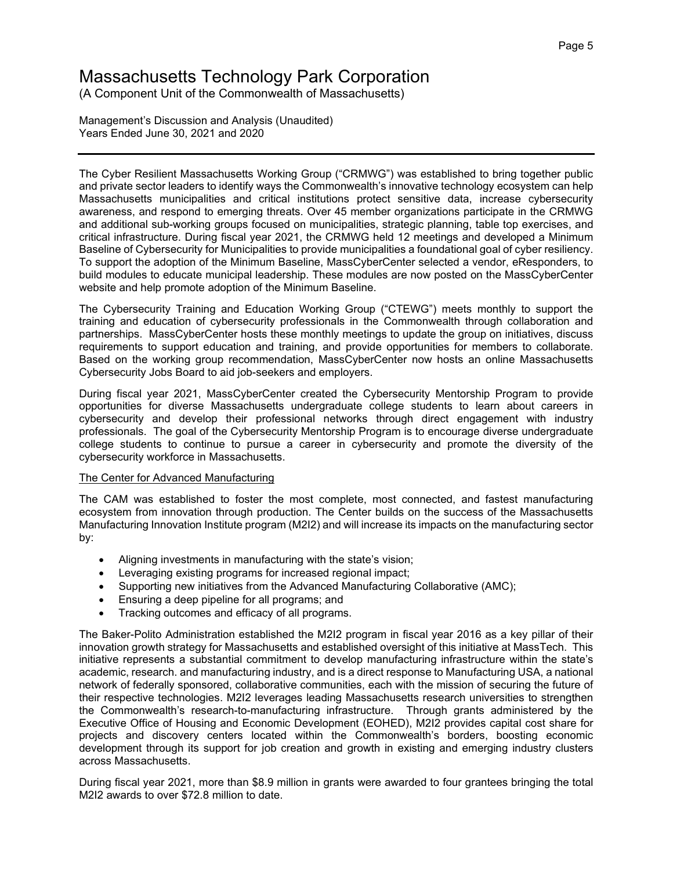(A Component Unit of the Commonwealth of Massachusetts)

Management's Discussion and Analysis (Unaudited) Years Ended June 30, 2021 and 2020

The Cyber Resilient Massachusetts Working Group ("CRMWG") was established to bring together public and private sector leaders to identify ways the Commonwealth's innovative technology ecosystem can help Massachusetts municipalities and critical institutions protect sensitive data, increase cybersecurity awareness, and respond to emerging threats. Over 45 member organizations participate in the CRMWG and additional sub-working groups focused on municipalities, strategic planning, table top exercises, and critical infrastructure. During fiscal year 2021, the CRMWG held 12 meetings and developed a Minimum Baseline of Cybersecurity for Municipalities to provide municipalities a foundational goal of cyber resiliency. To support the adoption of the Minimum Baseline, MassCyberCenter selected a vendor, eResponders, to build modules to educate municipal leadership. These modules are now posted on the MassCyberCenter website and help promote adoption of the Minimum Baseline.

The Cybersecurity Training and Education Working Group ("CTEWG") meets monthly to support the training and education of cybersecurity professionals in the Commonwealth through collaboration and partnerships. MassCyberCenter hosts these monthly meetings to update the group on initiatives, discuss requirements to support education and training, and provide opportunities for members to collaborate. Based on the working group recommendation, MassCyberCenter now hosts an online Massachusetts Cybersecurity Jobs Board to aid job-seekers and employers.

During fiscal year 2021, MassCyberCenter created the Cybersecurity Mentorship Program to provide opportunities for diverse Massachusetts undergraduate college students to learn about careers in cybersecurity and develop their professional networks through direct engagement with industry professionals. The goal of the Cybersecurity Mentorship Program is to encourage diverse undergraduate college students to continue to pursue a career in cybersecurity and promote the diversity of the cybersecurity workforce in Massachusetts.

#### The Center for Advanced Manufacturing

The CAM was established to foster the most complete, most connected, and fastest manufacturing ecosystem from innovation through production. The Center builds on the success of the Massachusetts Manufacturing Innovation Institute program (M2I2) and will increase its impacts on the manufacturing sector by:

- Aligning investments in manufacturing with the state's vision;
- Leveraging existing programs for increased regional impact;
- Supporting new initiatives from the Advanced Manufacturing Collaborative (AMC);
- Ensuring a deep pipeline for all programs; and
- Tracking outcomes and efficacy of all programs.

The Baker-Polito Administration established the M2I2 program in fiscal year 2016 as a key pillar of their innovation growth strategy for Massachusetts and established oversight of this initiative at MassTech. This initiative represents a substantial commitment to develop manufacturing infrastructure within the state's academic, research. and manufacturing industry, and is a direct response to Manufacturing USA, a national network of federally sponsored, collaborative communities, each with the mission of securing the future of their respective technologies. M2I2 leverages leading Massachusetts research universities to strengthen the Commonwealth's research-to-manufacturing infrastructure. Through grants administered by the Executive Office of Housing and Economic Development (EOHED), M2I2 provides capital cost share for projects and discovery centers located within the Commonwealth's borders, boosting economic development through its support for job creation and growth in existing and emerging industry clusters across Massachusetts.

During fiscal year 2021, more than \$8.9 million in grants were awarded to four grantees bringing the total M2I2 awards to over \$72.8 million to date.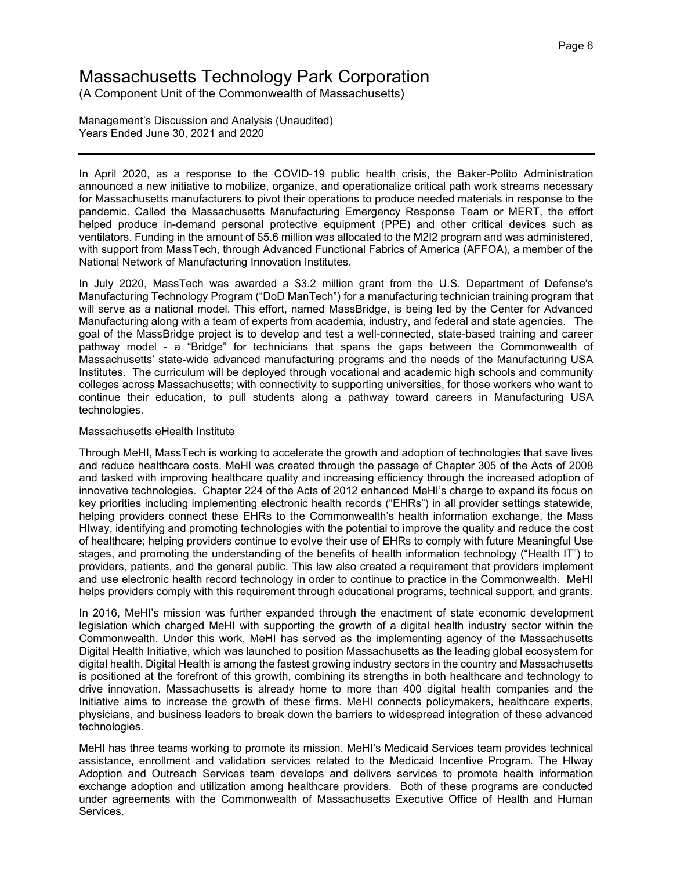(A Component Unit of the Commonwealth of Massachusetts)

Management's Discussion and Analysis (Unaudited) Years Ended June 30, 2021 and 2020

In April 2020, as a response to the COVID-19 public health crisis, the Baker-Polito Administration announced a new initiative to mobilize, organize, and operationalize critical path work streams necessary for Massachusetts manufacturers to pivot their operations to produce needed materials in response to the pandemic. Called the Massachusetts Manufacturing Emergency Response Team or MERT, the effort helped produce in-demand personal protective equipment (PPE) and other critical devices such as ventilators. Funding in the amount of \$5.6 million was allocated to the M2I2 program and was administered, with support from MassTech, through Advanced Functional Fabrics of America (AFFOA), a member of the National Network of Manufacturing Innovation Institutes.

In July 2020, MassTech was awarded a \$3.2 million grant from the U.S. Department of Defense's Manufacturing Technology Program ("DoD ManTech") for a manufacturing technician training program that will serve as a national model. This effort, named MassBridge, is being led by the Center for Advanced Manufacturing along with a team of experts from academia, industry, and federal and state agencies. The goal of the MassBridge project is to develop and test a well-connected, state-based training and career pathway model - a "Bridge" for technicians that spans the gaps between the Commonwealth of Massachusetts' state-wide advanced manufacturing programs and the needs of the Manufacturing USA Institutes. The curriculum will be deployed through vocational and academic high schools and community colleges across Massachusetts; with connectivity to supporting universities, for those workers who want to continue their education, to pull students along a pathway toward careers in Manufacturing USA technologies.

#### Massachusetts eHealth Institute

Through MeHI, MassTech is working to accelerate the growth and adoption of technologies that save lives and reduce healthcare costs. MeHI was created through the passage of Chapter 305 of the Acts of 2008 and tasked with improving healthcare quality and increasing efficiency through the increased adoption of innovative technologies. Chapter 224 of the Acts of 2012 enhanced MeHI's charge to expand its focus on key priorities including implementing electronic health records ("EHRs") in all provider settings statewide, helping providers connect these EHRs to the Commonwealth's health information exchange, the Mass HIway, identifying and promoting technologies with the potential to improve the quality and reduce the cost of healthcare; helping providers continue to evolve their use of EHRs to comply with future Meaningful Use stages, and promoting the understanding of the benefits of health information technology ("Health IT") to providers, patients, and the general public. This law also created a requirement that providers implement and use electronic health record technology in order to continue to practice in the Commonwealth. MeHI helps providers comply with this requirement through educational programs, technical support, and grants.

In 2016, MeHI's mission was further expanded through the enactment of state economic development legislation which charged MeHI with supporting the growth of a digital health industry sector within the Commonwealth. Under this work, MeHI has served as the implementing agency of the Massachusetts Digital Health Initiative, which was launched to position Massachusetts as the leading global ecosystem for digital health. Digital Health is among the fastest growing industry sectors in the country and Massachusetts is positioned at the forefront of this growth, combining its strengths in both healthcare and technology to drive innovation. Massachusetts is already home to more than 400 digital health companies and the Initiative aims to increase the growth of these firms. MeHI connects policymakers, healthcare experts, physicians, and business leaders to break down the barriers to widespread integration of these advanced technologies.

MeHI has three teams working to promote its mission. MeHI's Medicaid Services team provides technical assistance, enrollment and validation services related to the Medicaid Incentive Program. The HIway Adoption and Outreach Services team develops and delivers services to promote health information exchange adoption and utilization among healthcare providers. Both of these programs are conducted under agreements with the Commonwealth of Massachusetts Executive Office of Health and Human Services.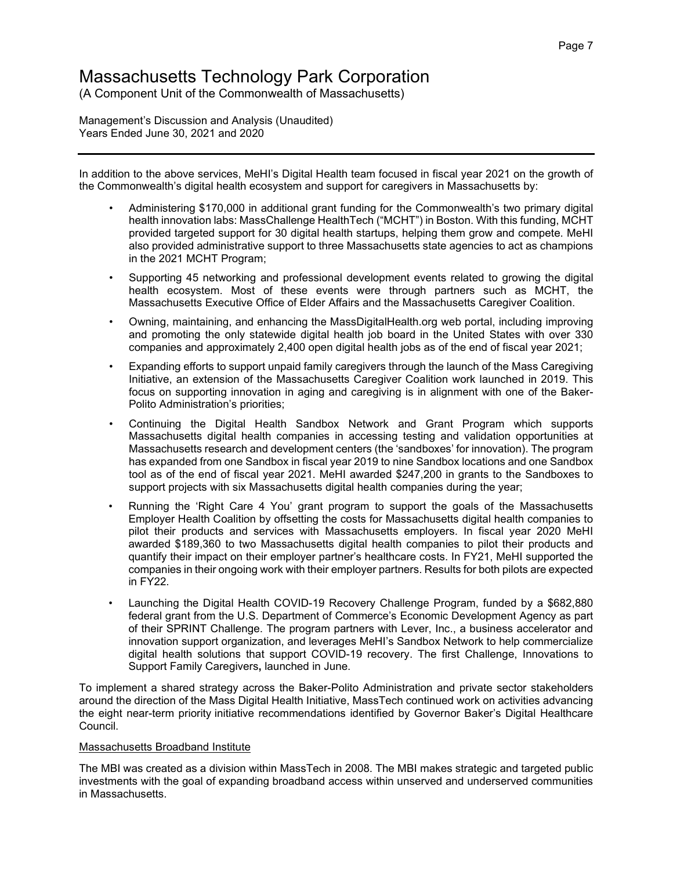(A Component Unit of the Commonwealth of Massachusetts)

Management's Discussion and Analysis (Unaudited) Years Ended June 30, 2021 and 2020

In addition to the above services, MeHI's Digital Health team focused in fiscal year 2021 on the growth of the Commonwealth's digital health ecosystem and support for caregivers in Massachusetts by:

- Administering \$170,000 in additional grant funding for the Commonwealth's two primary digital health innovation labs: MassChallenge HealthTech ("MCHT") in Boston. With this funding, MCHT provided targeted support for 30 digital health startups, helping them grow and compete. MeHI also provided administrative support to three Massachusetts state agencies to act as champions in the 2021 MCHT Program;
- Supporting 45 networking and professional development events related to growing the digital health ecosystem. Most of these events were through partners such as MCHT, the Massachusetts Executive Office of Elder Affairs and the Massachusetts Caregiver Coalition.
- Owning, maintaining, and enhancing the MassDigitalHealth.org web portal, including improving and promoting the only statewide digital health job board in the United States with over 330 companies and approximately 2,400 open digital health jobs as of the end of fiscal year 2021;
- Expanding efforts to support unpaid family caregivers through the launch of the Mass Caregiving Initiative, an extension of the Massachusetts Caregiver Coalition work launched in 2019. This focus on supporting innovation in aging and caregiving is in alignment with one of the Baker-Polito Administration's priorities;
- Continuing the Digital Health Sandbox Network and Grant Program which supports Massachusetts digital health companies in accessing testing and validation opportunities at Massachusetts research and development centers (the 'sandboxes' for innovation). The program has expanded from one Sandbox in fiscal year 2019 to nine Sandbox locations and one Sandbox tool as of the end of fiscal year 2021. MeHI awarded \$247,200 in grants to the Sandboxes to support projects with six Massachusetts digital health companies during the year;
- Running the 'Right Care 4 You' grant program to support the goals of the Massachusetts Employer Health Coalition by offsetting the costs for Massachusetts digital health companies to pilot their products and services with Massachusetts employers. In fiscal year 2020 MeHI awarded \$189,360 to two Massachusetts digital health companies to pilot their products and quantify their impact on their employer partner's healthcare costs. In FY21, MeHI supported the companies in their ongoing work with their employer partners. Results for both pilots are expected in FY22.
- Launching the Digital Health COVID-19 Recovery Challenge Program, funded by a \$682,880 federal grant from the U.S. Department of Commerce's Economic Development Agency as part of their SPRINT Challenge. The program partners with Lever, Inc., a business accelerator and innovation support organization, and leverages MeHI's Sandbox Network to help commercialize digital health solutions that support COVID-19 recovery. The first Challenge, Innovations to Support Family Caregivers**,** launched in June.

To implement a shared strategy across the Baker-Polito Administration and private sector stakeholders around the direction of the Mass Digital Health Initiative, MassTech continued work on activities advancing the eight near-term priority initiative recommendations identified by Governor Baker's Digital Healthcare Council.

#### Massachusetts Broadband Institute

The MBI was created as a division within MassTech in 2008. The MBI makes strategic and targeted public investments with the goal of expanding broadband access within unserved and underserved communities in Massachusetts.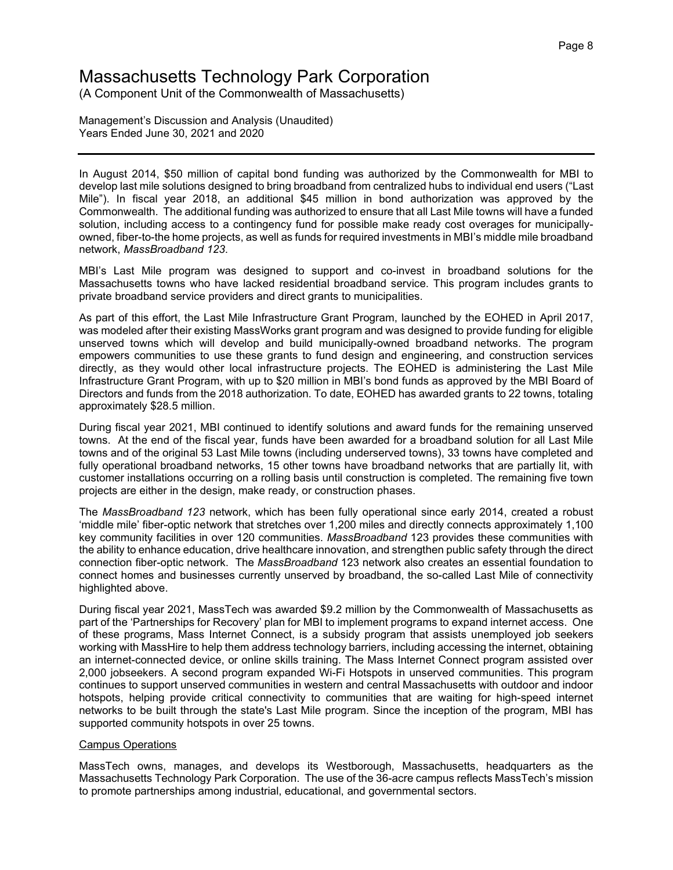(A Component Unit of the Commonwealth of Massachusetts)

Management's Discussion and Analysis (Unaudited) Years Ended June 30, 2021 and 2020

In August 2014, \$50 million of capital bond funding was authorized by the Commonwealth for MBI to develop last mile solutions designed to bring broadband from centralized hubs to individual end users ("Last Mile"). In fiscal year 2018, an additional \$45 million in bond authorization was approved by the Commonwealth. The additional funding was authorized to ensure that all Last Mile towns will have a funded solution, including access to a contingency fund for possible make ready cost overages for municipallyowned, fiber-to-the home projects, as well as funds for required investments in MBI's middle mile broadband network, *MassBroadband 123*.

MBI's Last Mile program was designed to support and co-invest in broadband solutions for the Massachusetts towns who have lacked residential broadband service. This program includes grants to private broadband service providers and direct grants to municipalities.

As part of this effort, the Last Mile Infrastructure Grant Program, launched by the EOHED in April 2017, was modeled after their existing MassWorks grant program and was designed to provide funding for eligible unserved towns which will develop and build municipally-owned broadband networks. The program empowers communities to use these grants to fund design and engineering, and construction services directly, as they would other local infrastructure projects. The EOHED is administering the Last Mile Infrastructure Grant Program, with up to \$20 million in MBI's bond funds as approved by the MBI Board of Directors and funds from the 2018 authorization. To date, EOHED has awarded grants to 22 towns, totaling approximately \$28.5 million.

During fiscal year 2021, MBI continued to identify solutions and award funds for the remaining unserved towns. At the end of the fiscal year, funds have been awarded for a broadband solution for all Last Mile towns and of the original 53 Last Mile towns (including underserved towns), 33 towns have completed and fully operational broadband networks, 15 other towns have broadband networks that are partially lit, with customer installations occurring on a rolling basis until construction is completed. The remaining five town projects are either in the design, make ready, or construction phases.

The *MassBroadband 123* network, which has been fully operational since early 2014, created a robust 'middle mile' fiber-optic network that stretches over 1,200 miles and directly connects approximately 1,100 key community facilities in over 120 communities. *MassBroadband* 123 provides these communities with the ability to enhance education, drive healthcare innovation, and strengthen public safety through the direct connection fiber-optic network. The *MassBroadband* 123 network also creates an essential foundation to connect homes and businesses currently unserved by broadband, the so-called Last Mile of connectivity highlighted above.

During fiscal year 2021, MassTech was awarded \$9.2 million by the Commonwealth of Massachusetts as part of the 'Partnerships for Recovery' plan for MBI to implement programs to expand internet access. One of these programs, Mass Internet Connect, is a subsidy program that assists unemployed job seekers working with MassHire to help them address technology barriers, including accessing the internet, obtaining an internet-connected device, or online skills training. The Mass Internet Connect program assisted over 2,000 jobseekers. A second program expanded Wi-Fi Hotspots in unserved communities. This program continues to support unserved communities in western and central Massachusetts with outdoor and indoor hotspots, helping provide critical connectivity to communities that are waiting for high-speed internet networks to be built through the state's Last Mile program. Since the inception of the program, MBI has supported community hotspots in over 25 towns.

#### Campus Operations

MassTech owns, manages, and develops its Westborough, Massachusetts, headquarters as the Massachusetts Technology Park Corporation. The use of the 36-acre campus reflects MassTech's mission to promote partnerships among industrial, educational, and governmental sectors.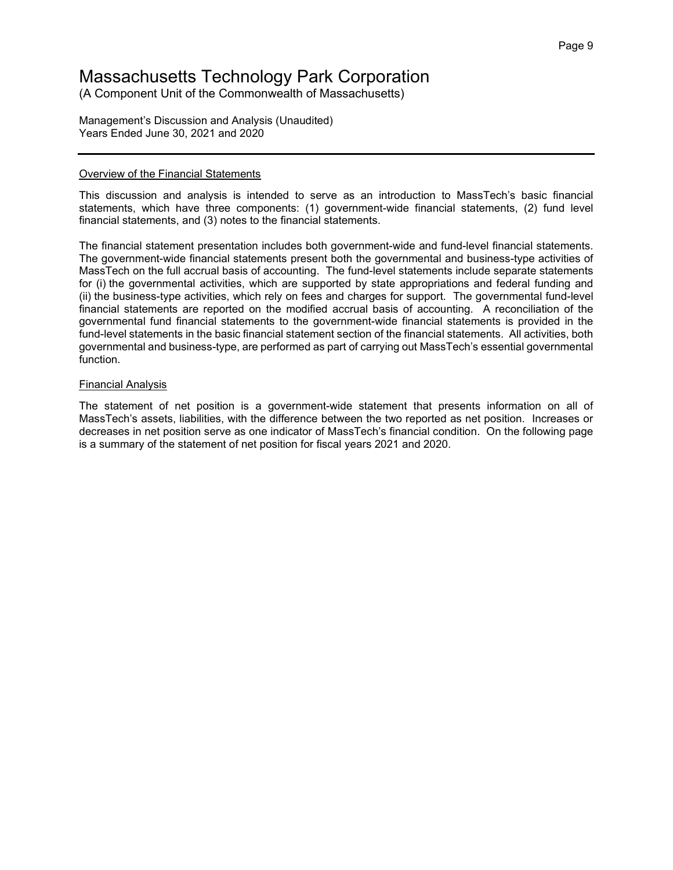(A Component Unit of the Commonwealth of Massachusetts)

Management's Discussion and Analysis (Unaudited) Years Ended June 30, 2021 and 2020

#### Overview of the Financial Statements

This discussion and analysis is intended to serve as an introduction to MassTech's basic financial statements, which have three components: (1) government-wide financial statements, (2) fund level financial statements, and (3) notes to the financial statements.

The financial statement presentation includes both government-wide and fund-level financial statements. The government-wide financial statements present both the governmental and business-type activities of MassTech on the full accrual basis of accounting. The fund-level statements include separate statements for (i) the governmental activities, which are supported by state appropriations and federal funding and (ii) the business-type activities, which rely on fees and charges for support. The governmental fund-level financial statements are reported on the modified accrual basis of accounting. A reconciliation of the governmental fund financial statements to the government-wide financial statements is provided in the fund-level statements in the basic financial statement section of the financial statements. All activities, both governmental and business-type, are performed as part of carrying out MassTech's essential governmental function.

#### Financial Analysis

The statement of net position is a government-wide statement that presents information on all of MassTech's assets, liabilities, with the difference between the two reported as net position. Increases or decreases in net position serve as one indicator of MassTech's financial condition. On the following page is a summary of the statement of net position for fiscal years 2021 and 2020.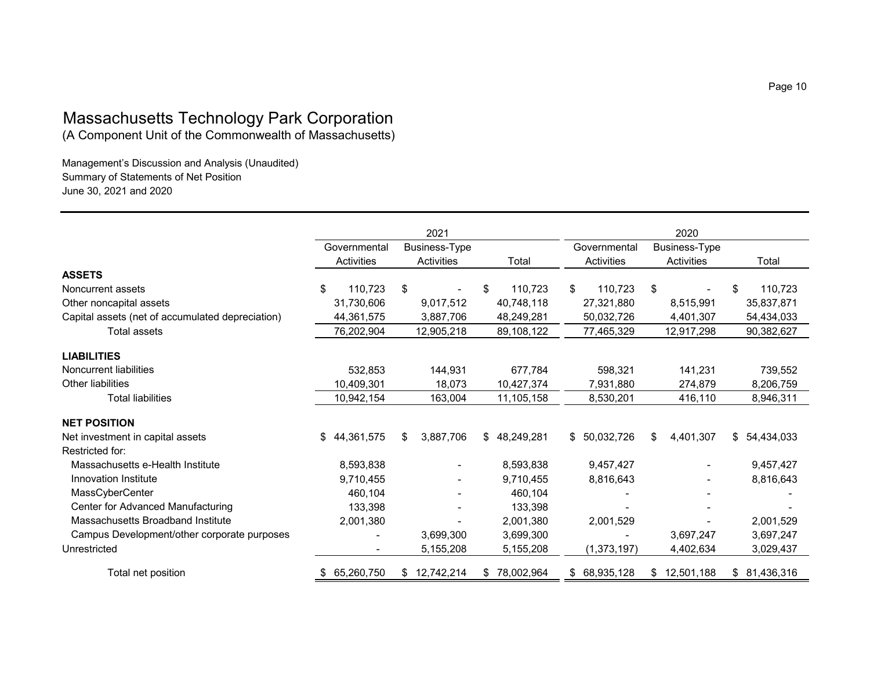(A Component Unit of the Commonwealth of Massachusetts)

Management's Discussion and Analysis (Unaudited) Summary of Statements of Net Position June 30, 2021 and 2020

|                                                  |                  | 2021                 |                   |                  | 2020             |              |
|--------------------------------------------------|------------------|----------------------|-------------------|------------------|------------------|--------------|
|                                                  | Governmental     | <b>Business-Type</b> |                   | Governmental     | Business-Type    |              |
|                                                  | Activities       | Activities           | Total             | Activities       | Activities       | Total        |
| <b>ASSETS</b>                                    |                  |                      |                   |                  |                  |              |
| Noncurrent assets                                | \$<br>110,723    | \$                   | 110,723<br>\$     | 110,723<br>\$    | \$               | 110,723<br>S |
| Other noncapital assets                          | 31,730,606       | 9,017,512            | 40,748,118        | 27,321,880       | 8,515,991        | 35,837,871   |
| Capital assets (net of accumulated depreciation) | 44,361,575       | 3,887,706            | 48,249,281        | 50,032,726       | 4,401,307        | 54,434,033   |
| Total assets                                     | 76,202,904       | 12,905,218           | 89,108,122        | 77,465,329       | 12,917,298       | 90,382,627   |
| <b>LIABILITIES</b>                               |                  |                      |                   |                  |                  |              |
| Noncurrent liabilities                           | 532,853          | 144,931              | 677,784           | 598,321          | 141,231          | 739,552      |
| Other liabilities                                | 10,409,301       | 18,073               | 10,427,374        | 7,931,880        | 274,879          | 8,206,759    |
| <b>Total liabilities</b>                         | 10,942,154       | 163,004              | 11,105,158        | 8,530,201        | 416,110          | 8,946,311    |
| <b>NET POSITION</b>                              |                  |                      |                   |                  |                  |              |
| Net investment in capital assets                 | 44,361,575<br>\$ | \$<br>3,887,706      | \$48,249,281      | \$<br>50,032,726 | \$<br>4,401,307  | \$54,434,033 |
| Restricted for:                                  |                  |                      |                   |                  |                  |              |
| Massachusetts e-Health Institute                 | 8,593,838        |                      | 8,593,838         | 9,457,427        |                  | 9,457,427    |
| Innovation Institute                             | 9,710,455        |                      | 9,710,455         | 8,816,643        |                  | 8,816,643    |
| MassCyberCenter                                  | 460,104          |                      | 460,104           |                  |                  |              |
| Center for Advanced Manufacturing                | 133,398          |                      | 133,398           |                  |                  |              |
| Massachusetts Broadband Institute                | 2,001,380        |                      | 2,001,380         | 2,001,529        |                  | 2,001,529    |
| Campus Development/other corporate purposes      |                  | 3,699,300            | 3,699,300         |                  | 3,697,247        | 3,697,247    |
| Unrestricted                                     |                  | 5,155,208            | 5,155,208         | (1, 373, 197)    | 4,402,634        | 3,029,437    |
| Total net position                               | 65,260,750<br>\$ | \$12,742,214         | 78,002,964<br>\$. | \$68,935,128     | 12,501,188<br>\$ | \$81,436,316 |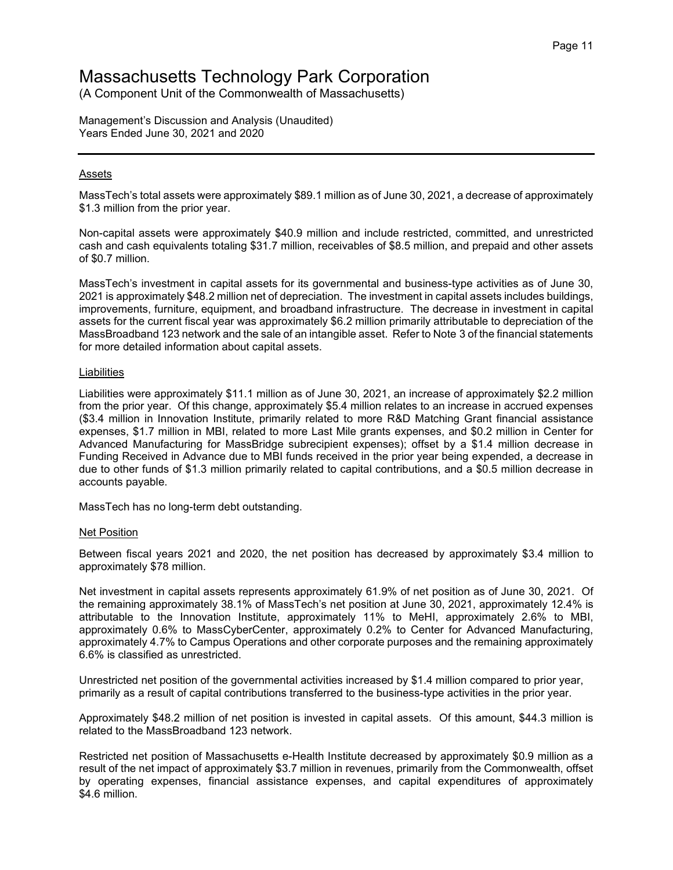(A Component Unit of the Commonwealth of Massachusetts)

Management's Discussion and Analysis (Unaudited) Years Ended June 30, 2021 and 2020

#### Assets

MassTech's total assets were approximately \$89.1 million as of June 30, 2021, a decrease of approximately \$1.3 million from the prior year.

Non-capital assets were approximately \$40.9 million and include restricted, committed, and unrestricted cash and cash equivalents totaling \$31.7 million, receivables of \$8.5 million, and prepaid and other assets of \$0.7 million.

MassTech's investment in capital assets for its governmental and business-type activities as of June 30, 2021 is approximately \$48.2 million net of depreciation. The investment in capital assets includes buildings, improvements, furniture, equipment, and broadband infrastructure. The decrease in investment in capital assets for the current fiscal year was approximately \$6.2 million primarily attributable to depreciation of the MassBroadband 123 network and the sale of an intangible asset. Refer to Note 3 of the financial statements for more detailed information about capital assets.

#### **Liabilities**

Liabilities were approximately \$11.1 million as of June 30, 2021, an increase of approximately \$2.2 million from the prior year. Of this change, approximately \$5.4 million relates to an increase in accrued expenses (\$3.4 million in Innovation Institute, primarily related to more R&D Matching Grant financial assistance expenses, \$1.7 million in MBI, related to more Last Mile grants expenses, and \$0.2 million in Center for Advanced Manufacturing for MassBridge subrecipient expenses); offset by a \$1.4 million decrease in Funding Received in Advance due to MBI funds received in the prior year being expended, a decrease in due to other funds of \$1.3 million primarily related to capital contributions, and a \$0.5 million decrease in accounts payable.

MassTech has no long-term debt outstanding.

#### Net Position

Between fiscal years 2021 and 2020, the net position has decreased by approximately \$3.4 million to approximately \$78 million.

Net investment in capital assets represents approximately 61.9% of net position as of June 30, 2021. Of the remaining approximately 38.1% of MassTech's net position at June 30, 2021, approximately 12.4% is attributable to the Innovation Institute, approximately 11% to MeHI, approximately 2.6% to MBI, approximately 0.6% to MassCyberCenter, approximately 0.2% to Center for Advanced Manufacturing, approximately 4.7% to Campus Operations and other corporate purposes and the remaining approximately 6.6% is classified as unrestricted.

Unrestricted net position of the governmental activities increased by \$1.4 million compared to prior year, primarily as a result of capital contributions transferred to the business-type activities in the prior year.

Approximately \$48.2 million of net position is invested in capital assets. Of this amount, \$44.3 million is related to the MassBroadband 123 network.

Restricted net position of Massachusetts e-Health Institute decreased by approximately \$0.9 million as a result of the net impact of approximately \$3.7 million in revenues, primarily from the Commonwealth, offset by operating expenses, financial assistance expenses, and capital expenditures of approximately \$4.6 million.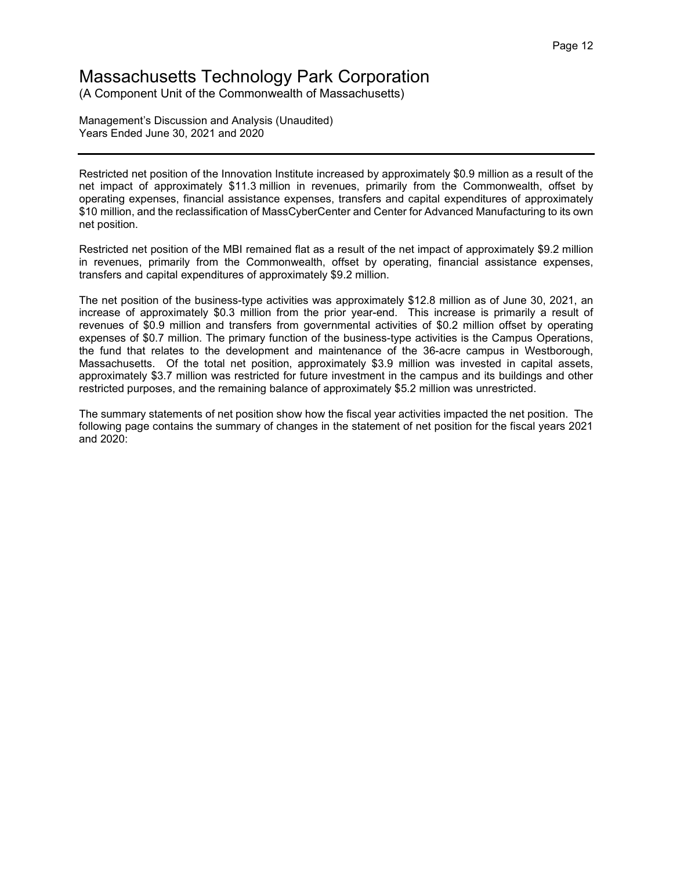(A Component Unit of the Commonwealth of Massachusetts)

Management's Discussion and Analysis (Unaudited) Years Ended June 30, 2021 and 2020

Restricted net position of the Innovation Institute increased by approximately \$0.9 million as a result of the net impact of approximately \$11.3 million in revenues, primarily from the Commonwealth, offset by operating expenses, financial assistance expenses, transfers and capital expenditures of approximately \$10 million, and the reclassification of MassCyberCenter and Center for Advanced Manufacturing to its own net position.

Restricted net position of the MBI remained flat as a result of the net impact of approximately \$9.2 million in revenues, primarily from the Commonwealth, offset by operating, financial assistance expenses, transfers and capital expenditures of approximately \$9.2 million.

The net position of the business-type activities was approximately \$12.8 million as of June 30, 2021, an increase of approximately \$0.3 million from the prior year-end. This increase is primarily a result of revenues of \$0.9 million and transfers from governmental activities of \$0.2 million offset by operating expenses of \$0.7 million. The primary function of the business-type activities is the Campus Operations, the fund that relates to the development and maintenance of the 36-acre campus in Westborough, Massachusetts. Of the total net position, approximately \$3.9 million was invested in capital assets, approximately \$3.7 million was restricted for future investment in the campus and its buildings and other restricted purposes, and the remaining balance of approximately \$5.2 million was unrestricted.

The summary statements of net position show how the fiscal year activities impacted the net position. The following page contains the summary of changes in the statement of net position for the fiscal years 2021 and 2020: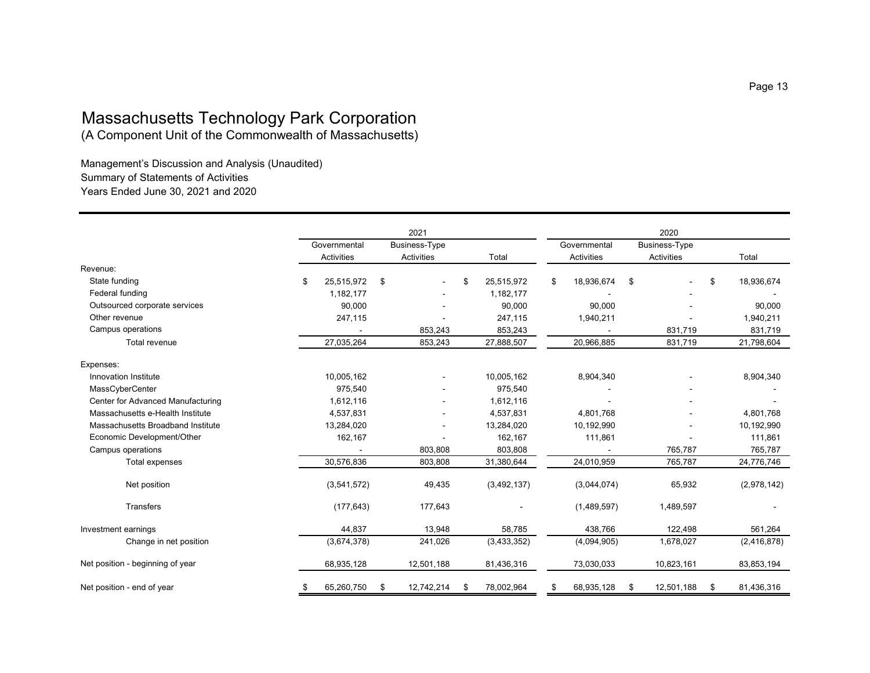(A Component Unit of the Commonwealth of Massachusetts)

Management's Discussion and Analysis (Unaudited) Summary of Statements of Activities Years Ended June 30, 2021 and 2020

|                                   | 2021              |    |                |    |             |    | 2020         |    |                      |    |             |  |
|-----------------------------------|-------------------|----|----------------|----|-------------|----|--------------|----|----------------------|----|-------------|--|
|                                   | Governmental      |    | Business-Type  |    |             |    | Governmental |    | <b>Business-Type</b> |    |             |  |
|                                   | <b>Activities</b> |    | Activities     |    | Total       |    | Activities   |    | Activities           |    | Total       |  |
| Revenue:                          |                   |    |                |    |             |    |              |    |                      |    |             |  |
| State funding                     | \$<br>25,515,972  | \$ | $\mathbf{r}$   | \$ | 25,515,972  | \$ | 18,936,674   | \$ |                      | \$ | 18,936,674  |  |
| Federal funding                   | 1,182,177         |    |                |    | 1,182,177   |    |              |    |                      |    |             |  |
| Outsourced corporate services     | 90,000            |    |                |    | 90,000      |    | 90,000       |    |                      |    | 90,000      |  |
| Other revenue                     | 247,115           |    |                |    | 247,115     |    | 1,940,211    |    |                      |    | 1,940,211   |  |
| Campus operations                 |                   |    | 853,243        |    | 853,243     |    |              |    | 831,719              |    | 831,719     |  |
| Total revenue                     | 27,035,264        |    | 853,243        |    | 27,888,507  |    | 20,966,885   |    | 831,719              |    | 21,798,604  |  |
| Expenses:                         |                   |    |                |    |             |    |              |    |                      |    |             |  |
| Innovation Institute              | 10,005,162        |    | $\blacksquare$ |    | 10,005,162  |    | 8,904,340    |    |                      |    | 8,904,340   |  |
| MassCyberCenter                   | 975,540           |    |                |    | 975,540     |    |              |    |                      |    |             |  |
| Center for Advanced Manufacturing | 1,612,116         |    |                |    | 1,612,116   |    |              |    |                      |    |             |  |
| Massachusetts e-Health Institute  | 4,537,831         |    |                |    | 4,537,831   |    | 4,801,768    |    |                      |    | 4,801,768   |  |
| Massachusetts Broadband Institute | 13,284,020        |    |                |    | 13,284,020  |    | 10,192,990   |    |                      |    | 10,192,990  |  |
| Economic Development/Other        | 162,167           |    |                |    | 162,167     |    | 111,861      |    |                      |    | 111,861     |  |
| Campus operations                 |                   |    | 803,808        |    | 803,808     |    |              |    | 765,787              |    | 765,787     |  |
| Total expenses                    | 30,576,836        |    | 803,808        |    | 31,380,644  |    | 24,010,959   |    | 765,787              |    | 24,776,746  |  |
| Net position                      | (3,541,572)       |    | 49,435         |    | (3,492,137) |    | (3,044,074)  |    | 65,932               |    | (2,978,142) |  |
| Transfers                         | (177, 643)        |    | 177,643        |    |             |    | (1,489,597)  |    | 1,489,597            |    |             |  |
| Investment earnings               | 44,837            |    | 13,948         |    | 58,785      |    | 438,766      |    | 122,498              |    | 561,264     |  |
| Change in net position            | (3,674,378)       |    | 241,026        |    | (3,433,352) |    | (4,094,905)  |    | 1,678,027            |    | (2,416,878) |  |
| Net position - beginning of year  | 68,935,128        |    | 12,501,188     |    | 81,436,316  |    | 73,030,033   |    | 10,823,161           |    | 83,853,194  |  |
| Net position - end of year        | \$<br>65,260,750  | \$ | 12,742,214     | \$ | 78,002,964  | \$ | 68,935,128   | \$ | 12,501,188           | \$ | 81,436,316  |  |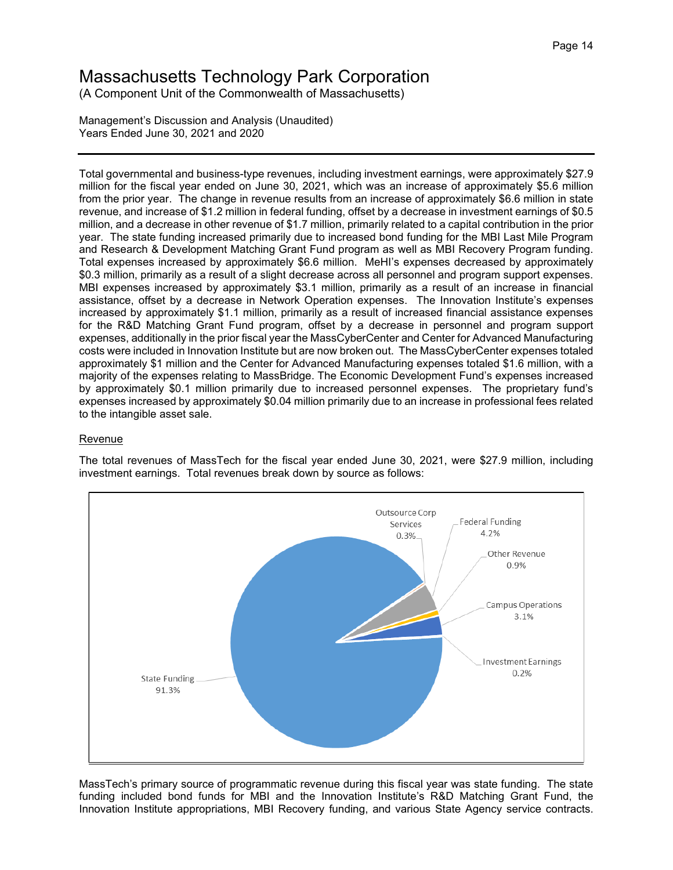(A Component Unit of the Commonwealth of Massachusetts)

Management's Discussion and Analysis (Unaudited) Years Ended June 30, 2021 and 2020

Total governmental and business-type revenues, including investment earnings, were approximately \$27.9 million for the fiscal year ended on June 30, 2021, which was an increase of approximately \$5.6 million from the prior year. The change in revenue results from an increase of approximately \$6.6 million in state revenue, and increase of \$1.2 million in federal funding, offset by a decrease in investment earnings of \$0.5 million, and a decrease in other revenue of \$1.7 million, primarily related to a capital contribution in the prior year. The state funding increased primarily due to increased bond funding for the MBI Last Mile Program and Research & Development Matching Grant Fund program as well as MBI Recovery Program funding. Total expenses increased by approximately \$6.6 million. MeHI's expenses decreased by approximately \$0.3 million, primarily as a result of a slight decrease across all personnel and program support expenses. MBI expenses increased by approximately \$3.1 million, primarily as a result of an increase in financial assistance, offset by a decrease in Network Operation expenses. The Innovation Institute's expenses increased by approximately \$1.1 million, primarily as a result of increased financial assistance expenses for the R&D Matching Grant Fund program, offset by a decrease in personnel and program support expenses, additionally in the prior fiscal year the MassCyberCenter and Center for Advanced Manufacturing costs were included in Innovation Institute but are now broken out. The MassCyberCenter expenses totaled approximately \$1 million and the Center for Advanced Manufacturing expenses totaled \$1.6 million, with a majority of the expenses relating to MassBridge. The Economic Development Fund's expenses increased by approximately \$0.1 million primarily due to increased personnel expenses. The proprietary fund's expenses increased by approximately \$0.04 million primarily due to an increase in professional fees related to the intangible asset sale.

#### Revenue

The total revenues of MassTech for the fiscal year ended June 30, 2021, were \$27.9 million, including investment earnings. Total revenues break down by source as follows:



MassTech's primary source of programmatic revenue during this fiscal year was state funding. The state funding included bond funds for MBI and the Innovation Institute's R&D Matching Grant Fund, the Innovation Institute appropriations, MBI Recovery funding, and various State Agency service contracts.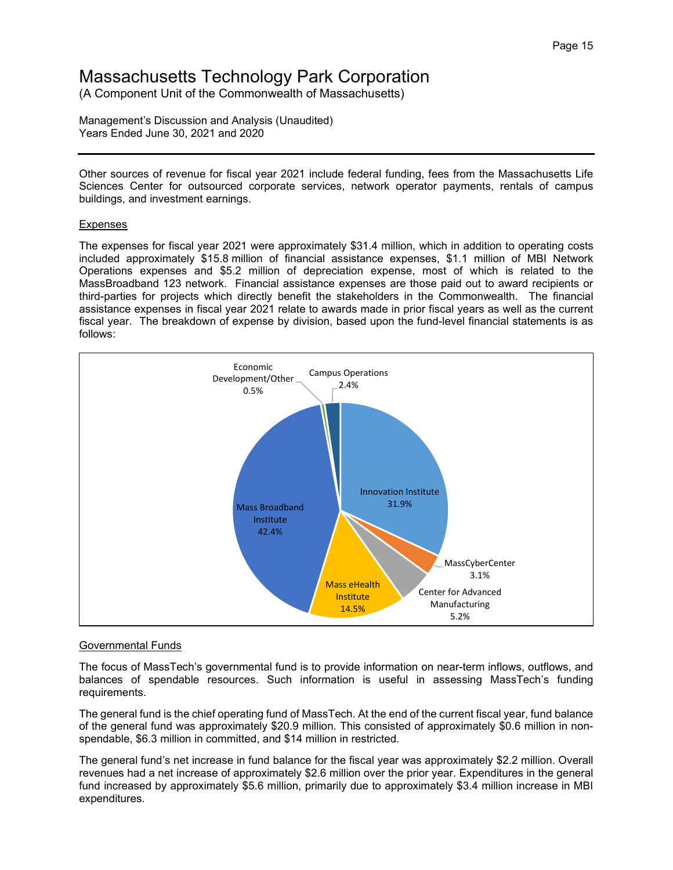(A Component Unit of the Commonwealth of Massachusetts)

Management's Discussion and Analysis (Unaudited) Years Ended June 30, 2021 and 2020

Other sources of revenue for fiscal year 2021 include federal funding, fees from the Massachusetts Life Sciences Center for outsourced corporate services, network operator payments, rentals of campus buildings, and investment earnings.

#### Expenses

The expenses for fiscal year 2021 were approximately \$31.4 million, which in addition to operating costs included approximately \$15.8 million of financial assistance expenses, \$1.1 million of MBI Network Operations expenses and \$5.2 million of depreciation expense, most of which is related to the MassBroadband 123 network. Financial assistance expenses are those paid out to award recipients or third-parties for projects which directly benefit the stakeholders in the Commonwealth. The financial assistance expenses in fiscal year 2021 relate to awards made in prior fiscal years as well as the current fiscal year. The breakdown of expense by division, based upon the fund-level financial statements is as follows:



#### Governmental Funds

The focus of MassTech's governmental fund is to provide information on near-term inflows, outflows, and balances of spendable resources. Such information is useful in assessing MassTech's funding requirements.

The general fund is the chief operating fund of MassTech. At the end of the current fiscal year, fund balance of the general fund was approximately \$20.9 million. This consisted of approximately \$0.6 million in nonspendable, \$6.3 million in committed, and \$14 million in restricted.

The general fund's net increase in fund balance for the fiscal year was approximately \$2.2 million. Overall revenues had a net increase of approximately \$2.6 million over the prior year. Expenditures in the general fund increased by approximately \$5.6 million, primarily due to approximately \$3.4 million increase in MBI expenditures.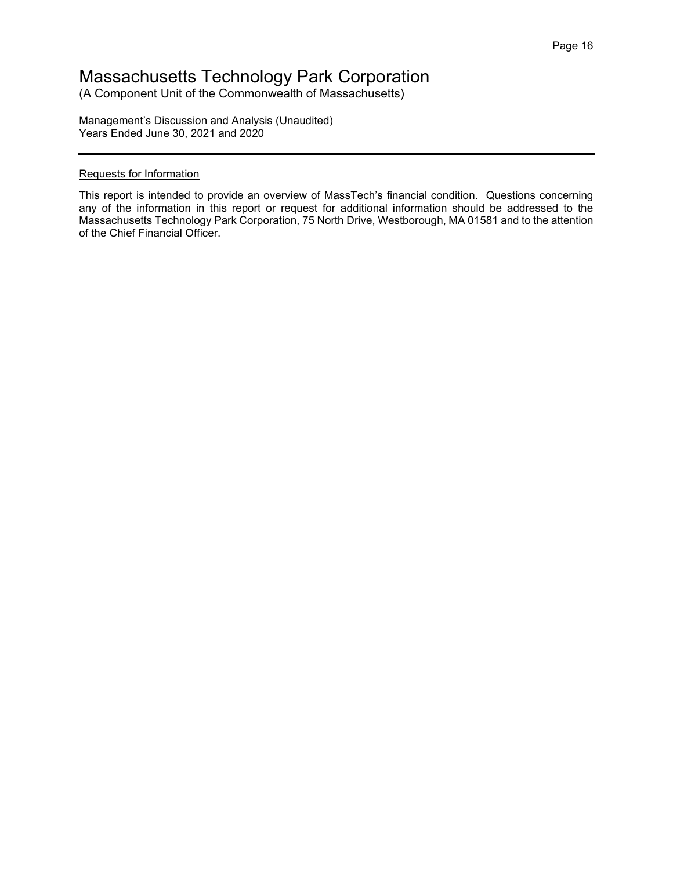(A Component Unit of the Commonwealth of Massachusetts)

Management's Discussion and Analysis (Unaudited) Years Ended June 30, 2021 and 2020

#### Requests for Information

This report is intended to provide an overview of MassTech's financial condition. Questions concerning any of the information in this report or request for additional information should be addressed to the Massachusetts Technology Park Corporation, 75 North Drive, Westborough, MA 01581 and to the attention of the Chief Financial Officer.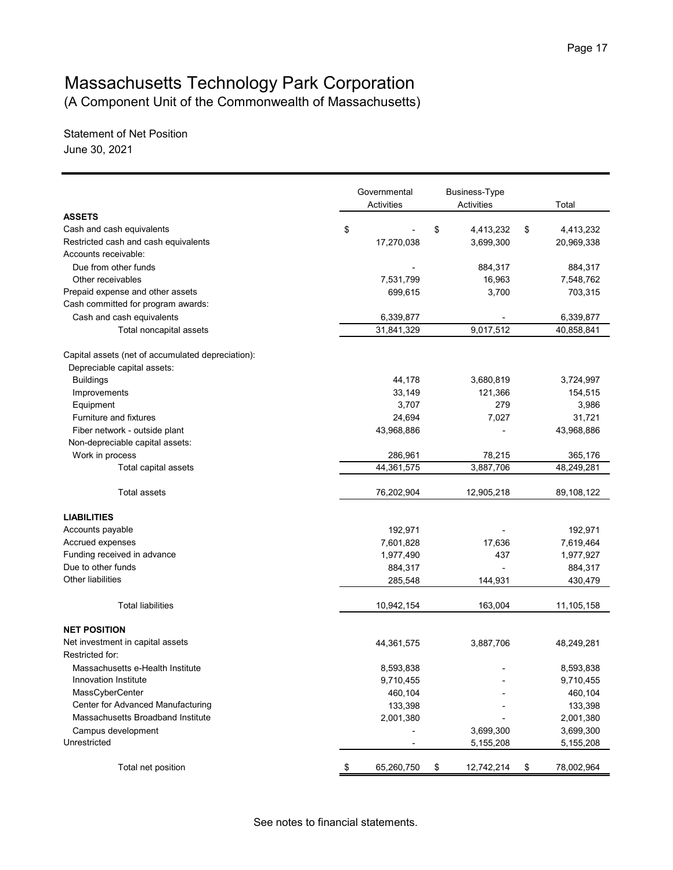### Massachusetts Technology Park Corporation (A Component Unit of the Commonwealth of Massachusetts)

Statement of Net Position June 30, 2021

|                                                   | Governmental     | Business-Type    |                  |
|---------------------------------------------------|------------------|------------------|------------------|
|                                                   | Activities       | Activities       | Total            |
| <b>ASSETS</b>                                     |                  |                  |                  |
| Cash and cash equivalents                         | \$               | \$<br>4,413,232  | \$<br>4,413,232  |
| Restricted cash and cash equivalents              | 17,270,038       | 3,699,300        | 20,969,338       |
| Accounts receivable:                              |                  |                  |                  |
| Due from other funds                              |                  | 884,317          | 884,317          |
| Other receivables                                 | 7,531,799        | 16,963           | 7,548,762        |
| Prepaid expense and other assets                  | 699,615          | 3,700            | 703,315          |
| Cash committed for program awards:                |                  |                  |                  |
| Cash and cash equivalents                         | 6,339,877        |                  | 6,339,877        |
| Total noncapital assets                           | 31,841,329       | 9,017,512        | 40,858,841       |
| Capital assets (net of accumulated depreciation): |                  |                  |                  |
| Depreciable capital assets:                       |                  |                  |                  |
| <b>Buildings</b>                                  | 44,178           | 3,680,819        | 3,724,997        |
| Improvements                                      | 33,149           | 121,366          | 154,515          |
| Equipment                                         | 3,707            | 279              | 3,986            |
| Furniture and fixtures                            | 24,694           | 7,027            | 31,721           |
| Fiber network - outside plant                     | 43,968,886       |                  | 43,968,886       |
| Non-depreciable capital assets:                   |                  |                  |                  |
| Work in process                                   | 286,961          | 78,215           | 365,176          |
| Total capital assets                              | 44,361,575       | 3,887,706        | 48,249,281       |
| <b>Total assets</b>                               | 76,202,904       | 12,905,218       | 89,108,122       |
| <b>LIABILITIES</b>                                |                  |                  |                  |
| Accounts payable                                  | 192,971          |                  | 192,971          |
| Accrued expenses                                  | 7,601,828        | 17,636           | 7,619,464        |
| Funding received in advance                       | 1,977,490        | 437              | 1,977,927        |
| Due to other funds                                | 884,317          |                  | 884,317          |
| Other liabilities                                 | 285,548          | 144,931          | 430,479          |
| <b>Total liabilities</b>                          | 10,942,154       | 163,004          | 11,105,158       |
| <b>NET POSITION</b>                               |                  |                  |                  |
| Net investment in capital assets                  | 44,361,575       | 3,887,706        | 48,249,281       |
| Restricted for:                                   |                  |                  |                  |
| Massachusetts e-Health Institute                  | 8,593,838        |                  | 8,593,838        |
| Innovation Institute                              | 9,710,455        |                  | 9,710,455        |
| MassCyberCenter                                   | 460,104          |                  | 460,104          |
| Center for Advanced Manufacturing                 | 133,398          |                  | 133,398          |
| Massachusetts Broadband Institute                 | 2,001,380        |                  | 2,001,380        |
| Campus development                                |                  | 3,699,300        | 3,699,300        |
| Unrestricted                                      |                  | 5,155,208        | 5,155,208        |
| Total net position                                | \$<br>65,260,750 | \$<br>12,742,214 | \$<br>78,002,964 |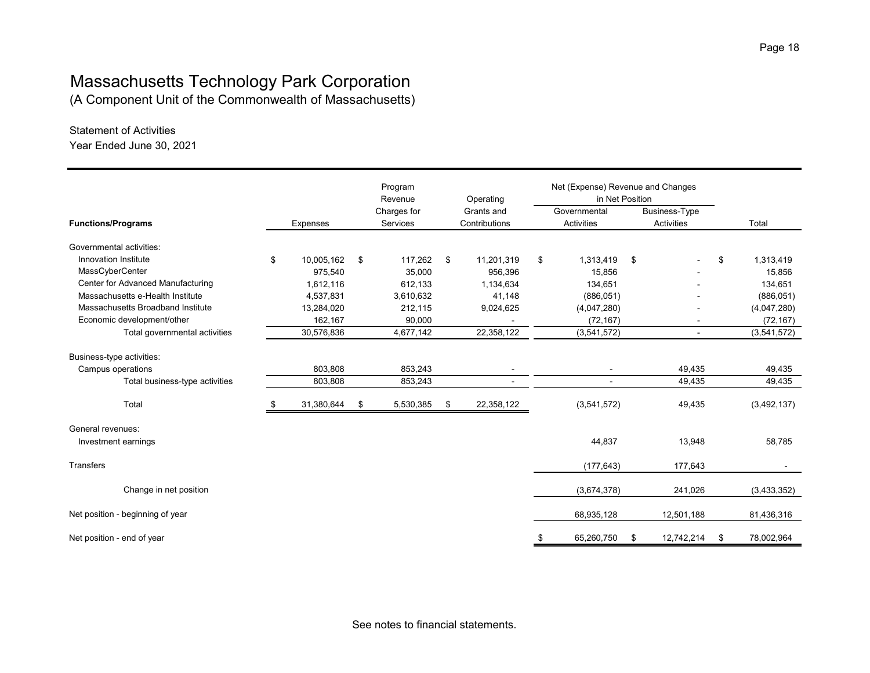(A Component Unit of the Commonwealth of Massachusetts)

#### Statement of Activities

Year Ended June 30, 2021

|                                                |                  | Program<br>Revenue<br>Charges for | Operating<br>Grants and | Net (Expense) Revenue and Changes<br>in Net Position<br>Governmental |      | <b>Business-Type</b>     |                  |
|------------------------------------------------|------------------|-----------------------------------|-------------------------|----------------------------------------------------------------------|------|--------------------------|------------------|
| <b>Functions/Programs</b>                      | Expenses         | Services                          | Contributions           | Activities                                                           |      | Activities               | Total            |
| Governmental activities:                       |                  |                                   |                         |                                                                      |      |                          |                  |
| Innovation Institute                           | \$<br>10,005,162 | \$<br>117,262                     | \$<br>11,201,319        | \$<br>1,313,419                                                      | - \$ |                          | \$<br>1,313,419  |
| MassCyberCenter                                | 975.540          | 35,000                            | 956.396                 | 15,856                                                               |      |                          | 15,856           |
| Center for Advanced Manufacturing              | 1,612,116        | 612,133                           | 1,134,634               | 134,651                                                              |      |                          | 134,651          |
| Massachusetts e-Health Institute               | 4,537,831        | 3,610,632                         | 41,148                  | (886, 051)                                                           |      |                          | (886, 051)       |
| Massachusetts Broadband Institute              | 13,284,020       | 212,115                           | 9,024,625               | (4,047,280)                                                          |      |                          | (4,047,280)      |
| Economic development/other                     | 162,167          | 90.000                            |                         | (72, 167)                                                            |      | $\overline{\phantom{a}}$ | (72, 167)        |
| Total governmental activities                  | 30,576,836       | 4,677,142                         | 22,358,122              | (3,541,572)                                                          |      | $\blacksquare$           | (3,541,572)      |
| Business-type activities:<br>Campus operations | 803,808          | 853,243                           |                         |                                                                      |      | 49,435                   | 49,435           |
| Total business-type activities                 | 803,808          | 853,243                           |                         |                                                                      |      | 49,435                   | 49,435           |
| Total                                          | 31,380,644       | \$<br>5,530,385                   | \$<br>22,358,122        | (3,541,572)                                                          |      | 49,435                   | (3,492,137)      |
| General revenues:                              |                  |                                   |                         |                                                                      |      |                          |                  |
| Investment earnings                            |                  |                                   |                         | 44,837                                                               |      | 13,948                   | 58,785           |
| Transfers                                      |                  |                                   |                         | (177, 643)                                                           |      | 177,643                  |                  |
| Change in net position                         |                  |                                   |                         | (3,674,378)                                                          |      | 241,026                  | (3,433,352)      |
| Net position - beginning of year               |                  |                                   |                         | 68,935,128                                                           |      | 12,501,188               | 81,436,316       |
| Net position - end of year                     |                  |                                   |                         | \$<br>65,260,750                                                     | \$   | 12,742,214               | \$<br>78,002,964 |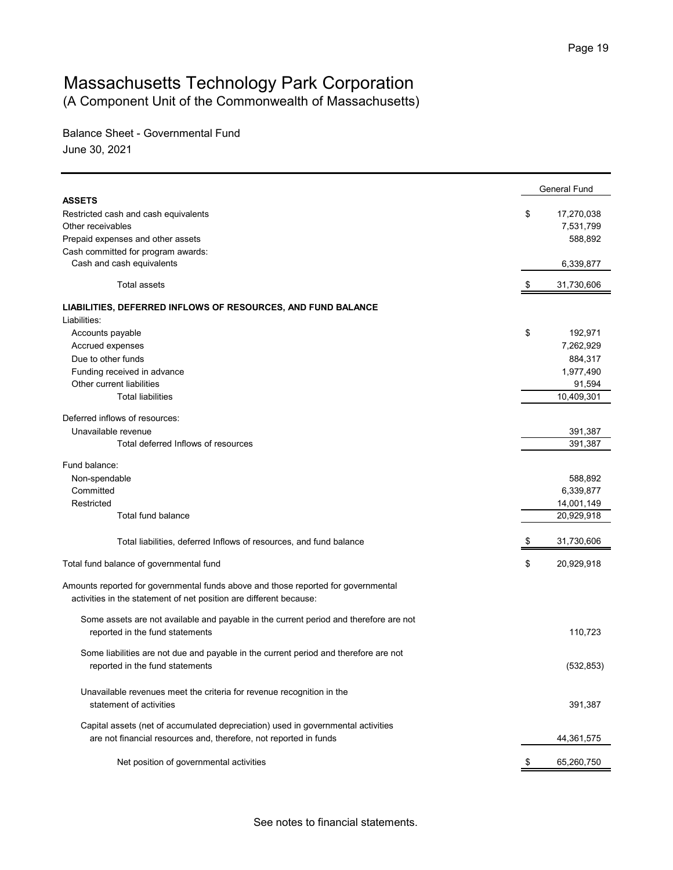(A Component Unit of the Commonwealth of Massachusetts)

Balance Sheet - Governmental Fund June 30, 2021

|                                                                                                                                                         |    | <b>General Fund</b> |
|---------------------------------------------------------------------------------------------------------------------------------------------------------|----|---------------------|
| <b>ASSETS</b>                                                                                                                                           |    |                     |
| Restricted cash and cash equivalents                                                                                                                    | \$ | 17,270,038          |
| Other receivables                                                                                                                                       |    | 7,531,799           |
| Prepaid expenses and other assets                                                                                                                       |    | 588,892             |
| Cash committed for program awards:                                                                                                                      |    |                     |
| Cash and cash equivalents                                                                                                                               |    | 6,339,877           |
| <b>Total assets</b>                                                                                                                                     | \$ | 31,730,606          |
| LIABILITIES, DEFERRED INFLOWS OF RESOURCES, AND FUND BALANCE<br>Liabilities:                                                                            |    |                     |
|                                                                                                                                                         |    |                     |
| Accounts payable                                                                                                                                        | \$ | 192,971             |
| Accrued expenses                                                                                                                                        |    | 7,262,929           |
| Due to other funds                                                                                                                                      |    | 884,317             |
| Funding received in advance                                                                                                                             |    | 1,977,490           |
| Other current liabilities                                                                                                                               |    | 91,594              |
| <b>Total liabilities</b>                                                                                                                                |    | 10,409,301          |
| Deferred inflows of resources:                                                                                                                          |    |                     |
| Unavailable revenue                                                                                                                                     |    | 391,387             |
| Total deferred Inflows of resources                                                                                                                     |    | 391,387             |
| Fund balance:                                                                                                                                           |    |                     |
| Non-spendable                                                                                                                                           |    | 588,892             |
| Committed                                                                                                                                               |    | 6,339,877           |
| Restricted                                                                                                                                              |    | 14,001,149          |
| Total fund balance                                                                                                                                      |    | 20,929,918          |
| Total liabilities, deferred Inflows of resources, and fund balance                                                                                      |    | 31,730,606          |
| Total fund balance of governmental fund                                                                                                                 | \$ | 20,929,918          |
| Amounts reported for governmental funds above and those reported for governmental<br>activities in the statement of net position are different because: |    |                     |
| Some assets are not available and payable in the current period and therefore are not<br>reported in the fund statements                                |    | 110,723             |
| Some liabilities are not due and payable in the current period and therefore are not<br>reported in the fund statements                                 |    | (532, 853)          |
| Unavailable revenues meet the criteria for revenue recognition in the<br>statement of activities                                                        |    | 391,387             |
| Capital assets (net of accumulated depreciation) used in governmental activities<br>are not financial resources and, therefore, not reported in funds   |    | 44,361,575          |
| Net position of governmental activities                                                                                                                 | S  | 65,260,750          |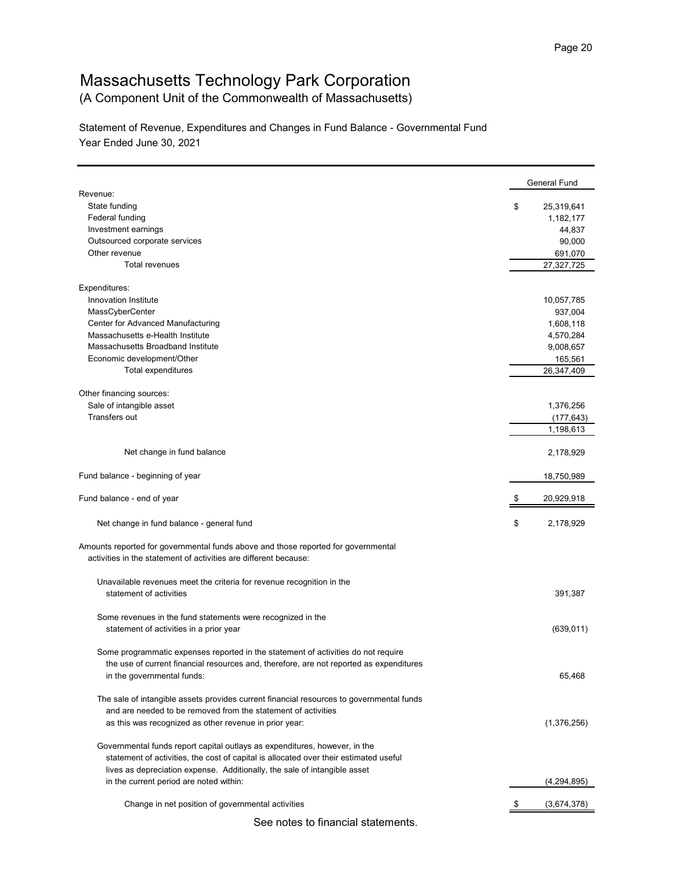(A Component Unit of the Commonwealth of Massachusetts)

Statement of Revenue, Expenditures and Changes in Fund Balance - Governmental Fund Year Ended June 30, 2021

|                                                                                          |    | <b>General Fund</b> |
|------------------------------------------------------------------------------------------|----|---------------------|
| Revenue:                                                                                 |    |                     |
| State funding                                                                            | \$ | 25,319,641          |
| Federal funding                                                                          |    | 1,182,177           |
| Investment earnings                                                                      |    | 44,837              |
| Outsourced corporate services                                                            |    | 90,000              |
| Other revenue                                                                            |    | 691,070             |
| <b>Total revenues</b>                                                                    |    | 27,327,725          |
|                                                                                          |    |                     |
| Expenditures:                                                                            |    |                     |
| Innovation Institute                                                                     |    | 10,057,785          |
| MassCyberCenter                                                                          |    | 937,004             |
| Center for Advanced Manufacturing                                                        |    | 1,608,118           |
| Massachusetts e-Health Institute                                                         |    | 4,570,284           |
| Massachusetts Broadband Institute                                                        |    | 9,008,657           |
| Economic development/Other                                                               |    | 165,561             |
| Total expenditures                                                                       |    | 26,347,409          |
|                                                                                          |    |                     |
| Other financing sources:                                                                 |    |                     |
| Sale of intangible asset                                                                 |    | 1,376,256           |
| Transfers out                                                                            |    | (177, 643)          |
|                                                                                          |    | 1,198,613           |
|                                                                                          |    |                     |
| Net change in fund balance                                                               |    | 2,178,929           |
|                                                                                          |    |                     |
| Fund balance - beginning of year                                                         |    | 18,750,989          |
|                                                                                          |    |                     |
| Fund balance - end of year                                                               | S  | 20,929,918          |
|                                                                                          |    |                     |
| Net change in fund balance - general fund                                                | \$ | 2,178,929           |
| Amounts reported for governmental funds above and those reported for governmental        |    |                     |
| activities in the statement of activities are different because:                         |    |                     |
|                                                                                          |    |                     |
| Unavailable revenues meet the criteria for revenue recognition in the                    |    |                     |
| statement of activities                                                                  |    | 391,387             |
|                                                                                          |    |                     |
| Some revenues in the fund statements were recognized in the                              |    |                     |
| statement of activities in a prior year                                                  |    | (639, 011)          |
|                                                                                          |    |                     |
| Some programmatic expenses reported in the statement of activities do not require        |    |                     |
| the use of current financial resources and, therefore, are not reported as expenditures  |    |                     |
| in the governmental funds:                                                               |    | 65,468              |
|                                                                                          |    |                     |
| The sale of intangible assets provides current financial resources to governmental funds |    |                     |
| and are needed to be removed from the statement of activities                            |    |                     |
| as this was recognized as other revenue in prior year:                                   |    | (1,376,256)         |
|                                                                                          |    |                     |
| Governmental funds report capital outlays as expenditures, however, in the               |    |                     |
| statement of activities, the cost of capital is allocated over their estimated useful    |    |                     |
| lives as depreciation expense. Additionally, the sale of intangible asset                |    |                     |
| in the current period are noted within:                                                  |    | (4, 294, 895)       |
|                                                                                          |    |                     |
| Change in net position of governmental activities                                        |    | (3,674,378)         |
|                                                                                          |    |                     |

See notes to financial statements.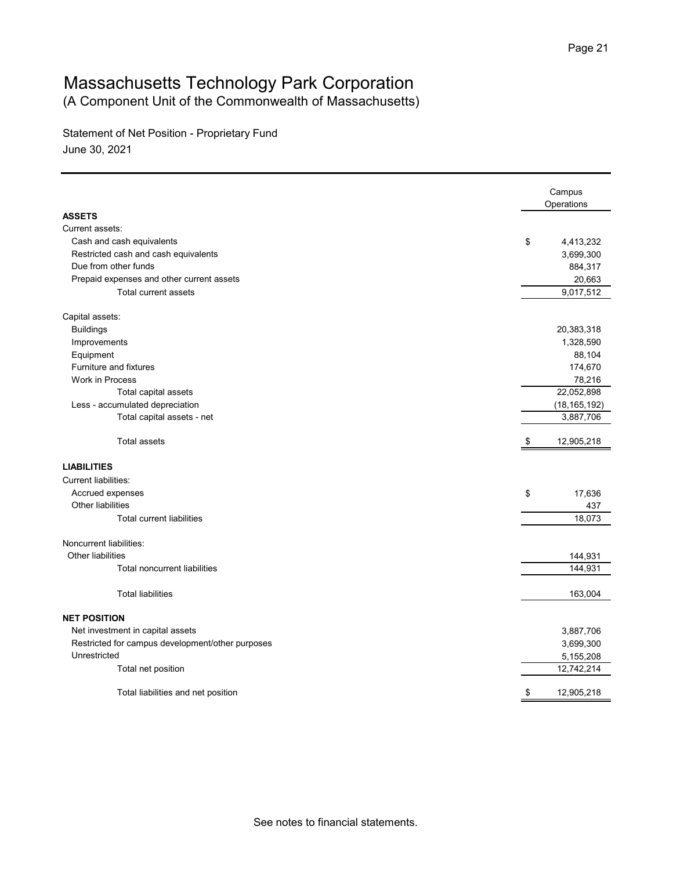(A Component Unit of the Commonwealth of Massachusetts)

Statement of Net Position - Proprietary Fund June 30, 2021

|                                                  | Campus<br>Operations   |
|--------------------------------------------------|------------------------|
| <b>ASSETS</b>                                    |                        |
| Current assets:                                  |                        |
| Cash and cash equivalents                        | \$<br>4,413,232        |
| Restricted cash and cash equivalents             | 3,699,300              |
| Due from other funds                             | 884,317                |
| Prepaid expenses and other current assets        | 20,663                 |
| Total current assets                             | $\overline{9,017,512}$ |
| Capital assets:                                  |                        |
| <b>Buildings</b>                                 | 20,383,318             |
| Improvements                                     | 1,328,590              |
| Equipment                                        | 88,104                 |
| Furniture and fixtures                           | 174,670                |
| <b>Work in Process</b>                           | 78,216                 |
| Total capital assets                             | 22,052,898             |
| Less - accumulated depreciation                  | (18, 165, 192)         |
| Total capital assets - net                       | 3,887,706              |
| <b>Total assets</b>                              | \$<br>12,905,218       |
| <b>LIABILITIES</b>                               |                        |
| Current liabilities:                             |                        |
| Accrued expenses                                 | \$<br>17,636           |
| <b>Other liabilities</b>                         | 437                    |
| <b>Total current liabilities</b>                 | 18,073                 |
| Noncurrent liabilities:                          |                        |
| <b>Other liabilities</b>                         | 144,931                |
| <b>Total noncurrent liabilities</b>              | 144,931                |
| <b>Total liabilities</b>                         | 163,004                |
| <b>NET POSITION</b>                              |                        |
| Net investment in capital assets                 | 3,887,706              |
| Restricted for campus development/other purposes | 3,699,300              |
| Unrestricted                                     | 5,155,208              |
| Total net position                               | 12,742,214             |
| Total liabilities and net position               | \$<br>12,905,218       |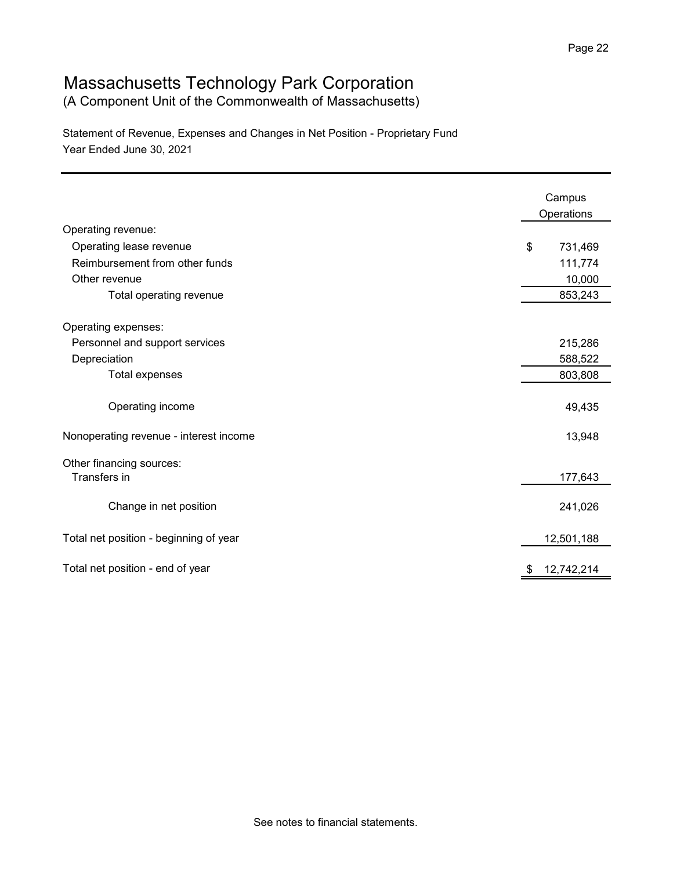(A Component Unit of the Commonwealth of Massachusetts)

Statement of Revenue, Expenses and Changes in Net Position - Proprietary Fund Year Ended June 30, 2021

|                                        | Campus<br>Operations |
|----------------------------------------|----------------------|
| Operating revenue:                     |                      |
| Operating lease revenue                | \$<br>731,469        |
| Reimbursement from other funds         | 111,774              |
| Other revenue                          | 10,000               |
| Total operating revenue                | 853,243              |
| Operating expenses:                    |                      |
| Personnel and support services         | 215,286              |
| Depreciation                           | 588,522              |
| Total expenses                         | 803,808              |
| Operating income                       | 49,435               |
| Nonoperating revenue - interest income | 13,948               |
| Other financing sources:               |                      |
| Transfers in                           | 177,643              |
| Change in net position                 | 241,026              |
| Total net position - beginning of year | 12,501,188           |
| Total net position - end of year       | 12,742,214<br>\$     |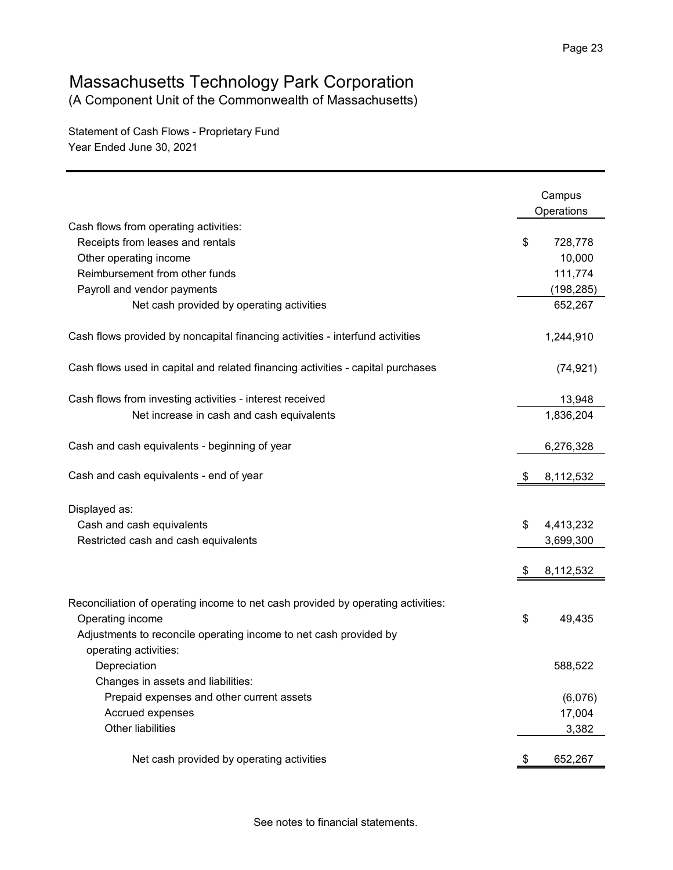(A Component Unit of the Commonwealth of Massachusetts)

Statement of Cash Flows - Proprietary Fund Year Ended June 30, 2021

|                                                                                            | Campus<br>Operations |
|--------------------------------------------------------------------------------------------|----------------------|
| Cash flows from operating activities:                                                      |                      |
| Receipts from leases and rentals                                                           | \$<br>728,778        |
| Other operating income                                                                     | 10,000               |
| Reimbursement from other funds                                                             | 111,774              |
| Payroll and vendor payments                                                                | (198, 285)           |
| Net cash provided by operating activities                                                  | 652,267              |
| Cash flows provided by noncapital financing activities - interfund activities              | 1,244,910            |
| Cash flows used in capital and related financing activities - capital purchases            | (74, 921)            |
| Cash flows from investing activities - interest received                                   | 13,948               |
| Net increase in cash and cash equivalents                                                  | 1,836,204            |
| Cash and cash equivalents - beginning of year                                              | 6,276,328            |
| Cash and cash equivalents - end of year                                                    | \$<br>8,112,532      |
|                                                                                            |                      |
| Displayed as:                                                                              |                      |
| Cash and cash equivalents                                                                  | \$<br>4,413,232      |
| Restricted cash and cash equivalents                                                       | 3,699,300            |
|                                                                                            | \$<br>8,112,532      |
|                                                                                            |                      |
| Reconciliation of operating income to net cash provided by operating activities:           | \$                   |
| Operating income                                                                           | 49,435               |
| Adjustments to reconcile operating income to net cash provided by<br>operating activities: |                      |
| Depreciation                                                                               |                      |
| Changes in assets and liabilities:                                                         | 588,522              |
|                                                                                            | (6,076)              |
| Prepaid expenses and other current assets<br>Accrued expenses                              | 17,004               |
| Other liabilities                                                                          | 3,382                |
|                                                                                            |                      |
| Net cash provided by operating activities                                                  | \$<br>652,267        |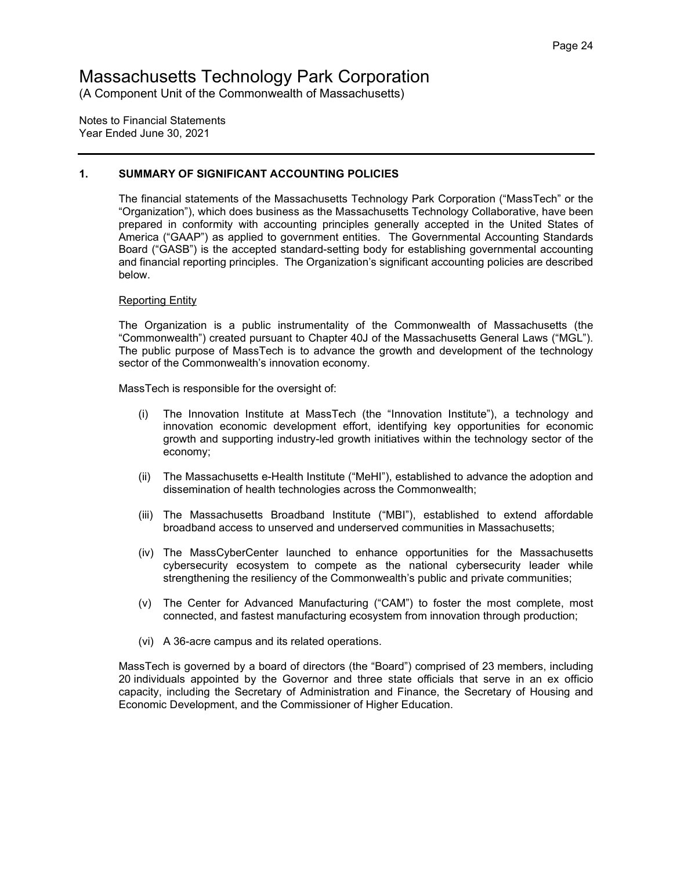(A Component Unit of the Commonwealth of Massachusetts)

Notes to Financial Statements Year Ended June 30, 2021

#### **1. SUMMARY OF SIGNIFICANT ACCOUNTING POLICIES**

The financial statements of the Massachusetts Technology Park Corporation ("MassTech" or the "Organization"), which does business as the Massachusetts Technology Collaborative, have been prepared in conformity with accounting principles generally accepted in the United States of America ("GAAP") as applied to government entities. The Governmental Accounting Standards Board ("GASB") is the accepted standard-setting body for establishing governmental accounting and financial reporting principles. The Organization's significant accounting policies are described below.

#### Reporting Entity

The Organization is a public instrumentality of the Commonwealth of Massachusetts (the "Commonwealth") created pursuant to Chapter 40J of the Massachusetts General Laws ("MGL"). The public purpose of MassTech is to advance the growth and development of the technology sector of the Commonwealth's innovation economy.

MassTech is responsible for the oversight of:

- (i) The Innovation Institute at MassTech (the "Innovation Institute"), a technology and innovation economic development effort, identifying key opportunities for economic growth and supporting industry-led growth initiatives within the technology sector of the economy;
- (ii) The Massachusetts e-Health Institute ("MeHI"), established to advance the adoption and dissemination of health technologies across the Commonwealth;
- (iii) The Massachusetts Broadband Institute ("MBI"), established to extend affordable broadband access to unserved and underserved communities in Massachusetts;
- (iv) The MassCyberCenter launched to enhance opportunities for the Massachusetts cybersecurity ecosystem to compete as the national cybersecurity leader while strengthening the resiliency of the Commonwealth's public and private communities;
- (v) The Center for Advanced Manufacturing ("CAM") to foster the most complete, most connected, and fastest manufacturing ecosystem from innovation through production;
- (vi) A 36-acre campus and its related operations.

MassTech is governed by a board of directors (the "Board") comprised of 23 members, including 20 individuals appointed by the Governor and three state officials that serve in an ex officio capacity, including the Secretary of Administration and Finance, the Secretary of Housing and Economic Development, and the Commissioner of Higher Education.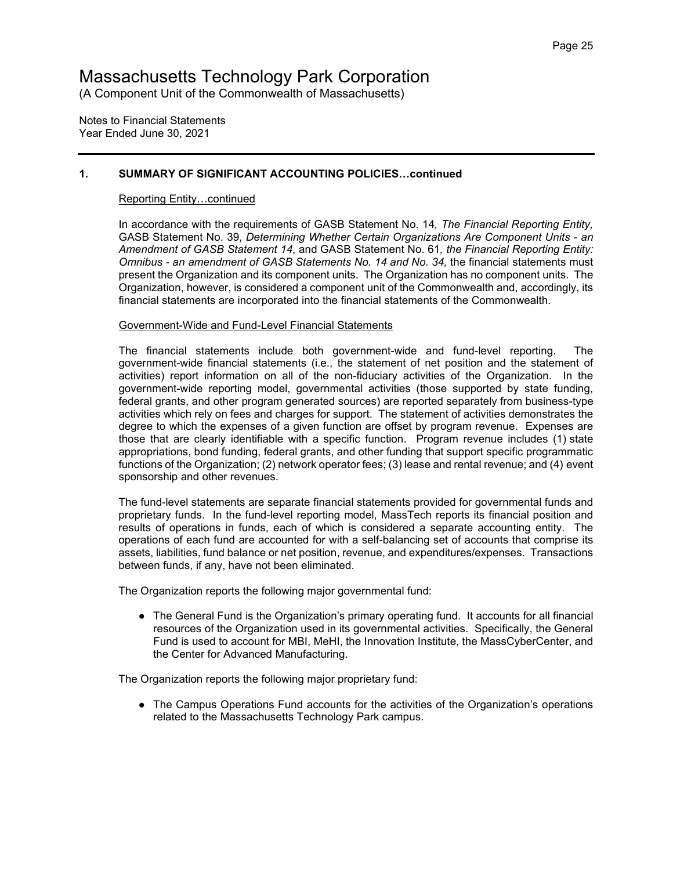(A Component Unit of the Commonwealth of Massachusetts)

Notes to Financial Statements Year Ended June 30, 2021

#### **1. SUMMARY OF SIGNIFICANT ACCOUNTING POLICIES…continued**

#### Reporting Entity…continued

In accordance with the requirements of GASB Statement No. 14*, The Financial Reporting Entity,*  GASB Statement No. 39, *Determining Whether Certain Organizations Are Component Units - an Amendment of GASB Statement 14*, and GASB Statement No. 61*, the Financial Reporting Entity: Omnibus - an amendment of GASB Statements No. 14 and No. 34,* the financial statements must present the Organization and its component units. The Organization has no component units. The Organization, however, is considered a component unit of the Commonwealth and, accordingly, its financial statements are incorporated into the financial statements of the Commonwealth.

#### Government-Wide and Fund-Level Financial Statements

The financial statements include both government-wide and fund-level reporting. The government-wide financial statements (i.e., the statement of net position and the statement of activities) report information on all of the non-fiduciary activities of the Organization. In the government-wide reporting model, governmental activities (those supported by state funding, federal grants, and other program generated sources) are reported separately from business-type activities which rely on fees and charges for support. The statement of activities demonstrates the degree to which the expenses of a given function are offset by program revenue. Expenses are those that are clearly identifiable with a specific function. Program revenue includes (1) state appropriations, bond funding, federal grants, and other funding that support specific programmatic functions of the Organization; (2) network operator fees; (3) lease and rental revenue; and (4) event sponsorship and other revenues.

The fund-level statements are separate financial statements provided for governmental funds and proprietary funds. In the fund-level reporting model, MassTech reports its financial position and results of operations in funds, each of which is considered a separate accounting entity. The operations of each fund are accounted for with a self-balancing set of accounts that comprise its assets, liabilities, fund balance or net position, revenue, and expenditures/expenses. Transactions between funds, if any, have not been eliminated.

The Organization reports the following major governmental fund:

● The General Fund is the Organization's primary operating fund. It accounts for all financial resources of the Organization used in its governmental activities. Specifically, the General Fund is used to account for MBI, MeHI, the Innovation Institute, the MassCyberCenter, and the Center for Advanced Manufacturing.

The Organization reports the following major proprietary fund:

● The Campus Operations Fund accounts for the activities of the Organization's operations related to the Massachusetts Technology Park campus.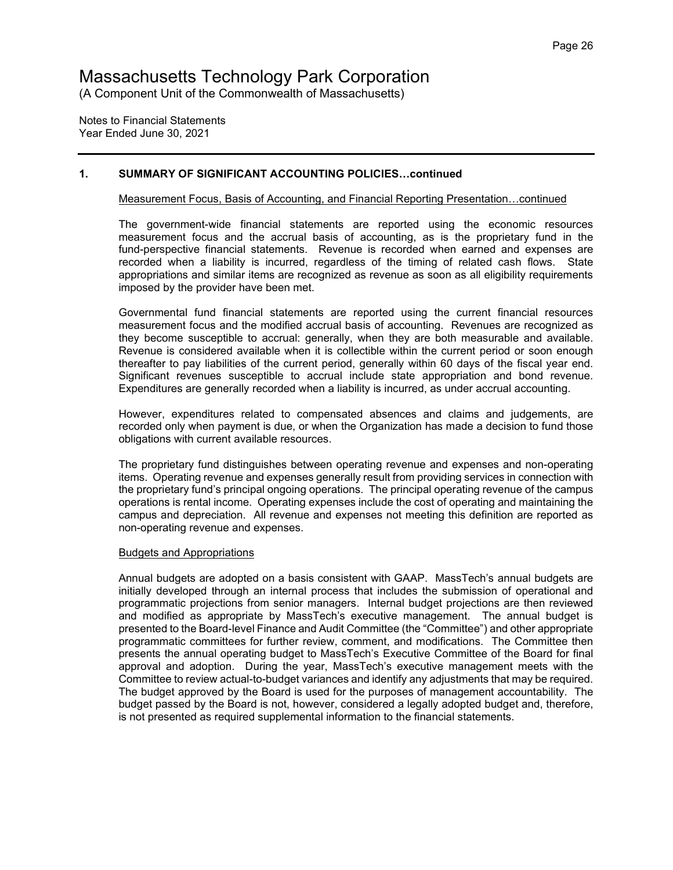(A Component Unit of the Commonwealth of Massachusetts)

Notes to Financial Statements Year Ended June 30, 2021

#### **1. SUMMARY OF SIGNIFICANT ACCOUNTING POLICIES…continued**

Measurement Focus, Basis of Accounting, and Financial Reporting Presentation…continued

The government-wide financial statements are reported using the economic resources measurement focus and the accrual basis of accounting, as is the proprietary fund in the fund-perspective financial statements. Revenue is recorded when earned and expenses are recorded when a liability is incurred, regardless of the timing of related cash flows. State appropriations and similar items are recognized as revenue as soon as all eligibility requirements imposed by the provider have been met.

Governmental fund financial statements are reported using the current financial resources measurement focus and the modified accrual basis of accounting. Revenues are recognized as they become susceptible to accrual: generally, when they are both measurable and available. Revenue is considered available when it is collectible within the current period or soon enough thereafter to pay liabilities of the current period, generally within 60 days of the fiscal year end. Significant revenues susceptible to accrual include state appropriation and bond revenue. Expenditures are generally recorded when a liability is incurred, as under accrual accounting.

However, expenditures related to compensated absences and claims and judgements, are recorded only when payment is due, or when the Organization has made a decision to fund those obligations with current available resources.

The proprietary fund distinguishes between operating revenue and expenses and non-operating items. Operating revenue and expenses generally result from providing services in connection with the proprietary fund's principal ongoing operations. The principal operating revenue of the campus operations is rental income. Operating expenses include the cost of operating and maintaining the campus and depreciation. All revenue and expenses not meeting this definition are reported as non-operating revenue and expenses.

#### Budgets and Appropriations

Annual budgets are adopted on a basis consistent with GAAP. MassTech's annual budgets are initially developed through an internal process that includes the submission of operational and programmatic projections from senior managers. Internal budget projections are then reviewed and modified as appropriate by MassTech's executive management. The annual budget is presented to the Board-level Finance and Audit Committee (the "Committee") and other appropriate programmatic committees for further review, comment, and modifications. The Committee then presents the annual operating budget to MassTech's Executive Committee of the Board for final approval and adoption. During the year, MassTech's executive management meets with the Committee to review actual-to-budget variances and identify any adjustments that may be required. The budget approved by the Board is used for the purposes of management accountability. The budget passed by the Board is not, however, considered a legally adopted budget and, therefore, is not presented as required supplemental information to the financial statements.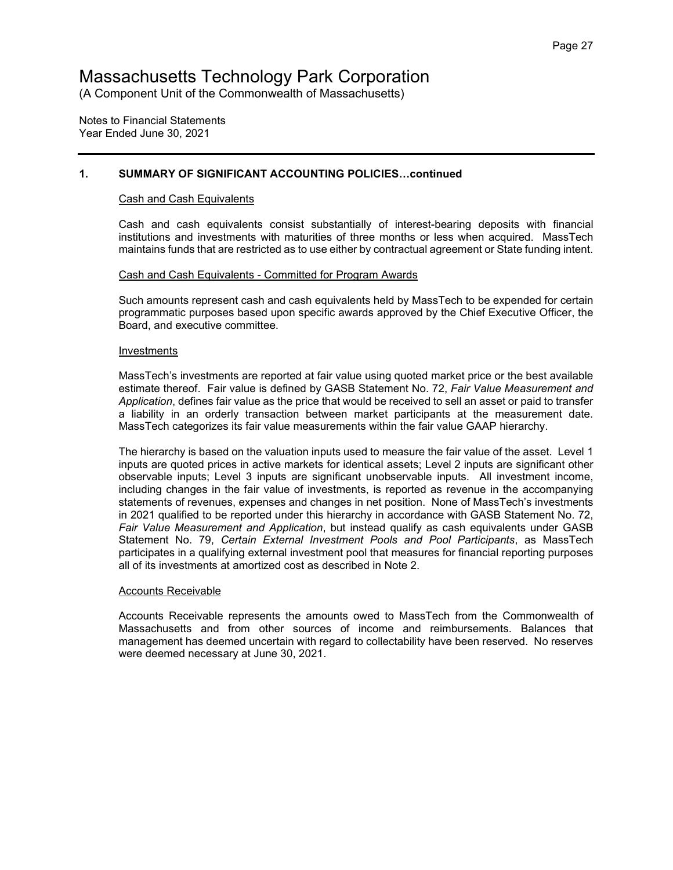(A Component Unit of the Commonwealth of Massachusetts)

Notes to Financial Statements Year Ended June 30, 2021

#### **1. SUMMARY OF SIGNIFICANT ACCOUNTING POLICIES…continued**

#### Cash and Cash Equivalents

Cash and cash equivalents consist substantially of interest-bearing deposits with financial institutions and investments with maturities of three months or less when acquired. MassTech maintains funds that are restricted as to use either by contractual agreement or State funding intent.

#### Cash and Cash Equivalents - Committed for Program Awards

Such amounts represent cash and cash equivalents held by MassTech to be expended for certain programmatic purposes based upon specific awards approved by the Chief Executive Officer, the Board, and executive committee.

#### **Investments**

MassTech's investments are reported at fair value using quoted market price or the best available estimate thereof. Fair value is defined by GASB Statement No. 72, *Fair Value Measurement and Application*, defines fair value as the price that would be received to sell an asset or paid to transfer a liability in an orderly transaction between market participants at the measurement date. MassTech categorizes its fair value measurements within the fair value GAAP hierarchy.

The hierarchy is based on the valuation inputs used to measure the fair value of the asset. Level 1 inputs are quoted prices in active markets for identical assets; Level 2 inputs are significant other observable inputs; Level 3 inputs are significant unobservable inputs. All investment income, including changes in the fair value of investments, is reported as revenue in the accompanying statements of revenues, expenses and changes in net position. None of MassTech's investments in 2021 qualified to be reported under this hierarchy in accordance with GASB Statement No. 72, *Fair Value Measurement and Application*, but instead qualify as cash equivalents under GASB Statement No. 79, *Certain External Investment Pools and Pool Participants*, as MassTech participates in a qualifying external investment pool that measures for financial reporting purposes all of its investments at amortized cost as described in Note 2.

#### Accounts Receivable

Accounts Receivable represents the amounts owed to MassTech from the Commonwealth of Massachusetts and from other sources of income and reimbursements. Balances that management has deemed uncertain with regard to collectability have been reserved. No reserves were deemed necessary at June 30, 2021.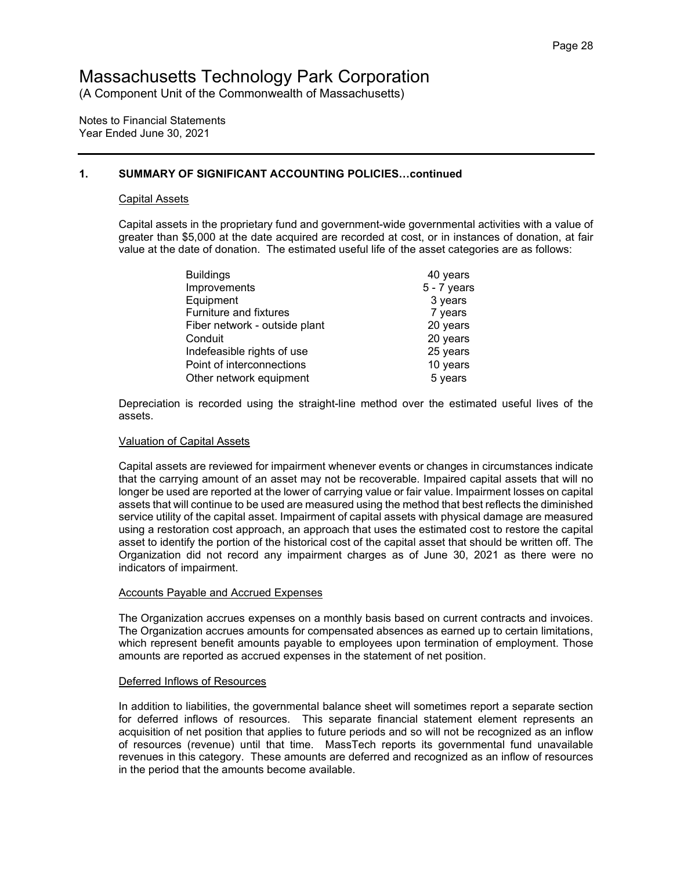(A Component Unit of the Commonwealth of Massachusetts)

Notes to Financial Statements Year Ended June 30, 2021

#### **1. SUMMARY OF SIGNIFICANT ACCOUNTING POLICIES…continued**

#### Capital Assets

Capital assets in the proprietary fund and government-wide governmental activities with a value of greater than \$5,000 at the date acquired are recorded at cost, or in instances of donation, at fair value at the date of donation. The estimated useful life of the asset categories are as follows:

| <b>Buildings</b>              | 40 years      |
|-------------------------------|---------------|
| Improvements                  | $5 - 7$ years |
| Equipment                     | 3 years       |
| Furniture and fixtures        | 7 years       |
| Fiber network - outside plant | 20 years      |
| Conduit                       | 20 years      |
| Indefeasible rights of use    | 25 years      |
| Point of interconnections     | 10 years      |
| Other network equipment       | 5 years       |

Depreciation is recorded using the straight-line method over the estimated useful lives of the assets.

#### Valuation of Capital Assets

Capital assets are reviewed for impairment whenever events or changes in circumstances indicate that the carrying amount of an asset may not be recoverable. Impaired capital assets that will no longer be used are reported at the lower of carrying value or fair value. Impairment losses on capital assets that will continue to be used are measured using the method that best reflects the diminished service utility of the capital asset. Impairment of capital assets with physical damage are measured using a restoration cost approach, an approach that uses the estimated cost to restore the capital asset to identify the portion of the historical cost of the capital asset that should be written off. The Organization did not record any impairment charges as of June 30, 2021 as there were no indicators of impairment.

#### **Accounts Payable and Accrued Expenses**

The Organization accrues expenses on a monthly basis based on current contracts and invoices. The Organization accrues amounts for compensated absences as earned up to certain limitations, which represent benefit amounts payable to employees upon termination of employment. Those amounts are reported as accrued expenses in the statement of net position.

#### Deferred Inflows of Resources

In addition to liabilities, the governmental balance sheet will sometimes report a separate section for deferred inflows of resources. This separate financial statement element represents an acquisition of net position that applies to future periods and so will not be recognized as an inflow of resources (revenue) until that time. MassTech reports its governmental fund unavailable revenues in this category. These amounts are deferred and recognized as an inflow of resources in the period that the amounts become available.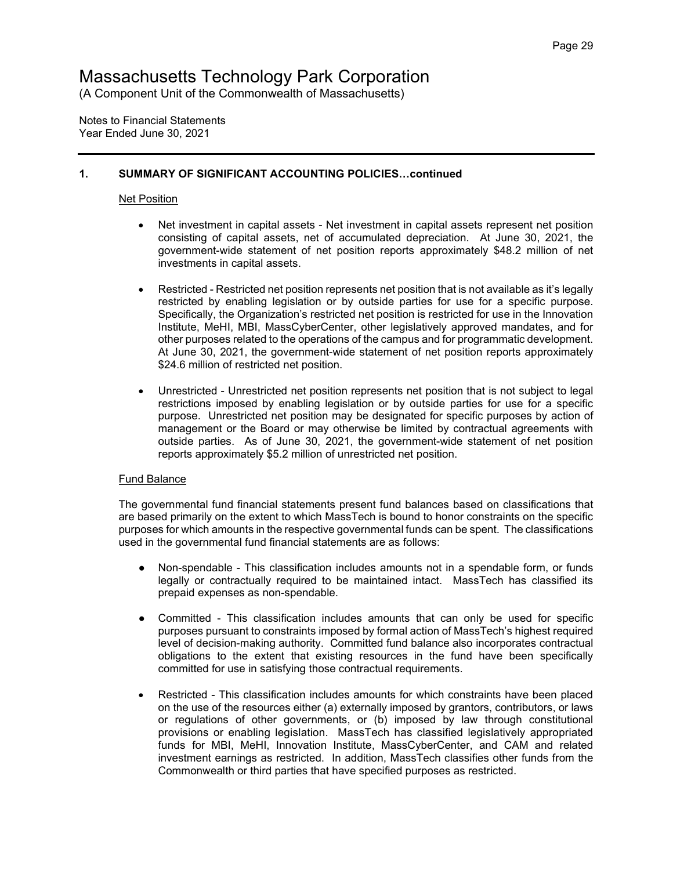(A Component Unit of the Commonwealth of Massachusetts)

Notes to Financial Statements Year Ended June 30, 2021

#### **1. SUMMARY OF SIGNIFICANT ACCOUNTING POLICIES…continued**

#### Net Position

- Net investment in capital assets Net investment in capital assets represent net position consisting of capital assets, net of accumulated depreciation. At June 30, 2021, the government-wide statement of net position reports approximately \$48.2 million of net investments in capital assets.
- Restricted Restricted net position represents net position that is not available as it's legally restricted by enabling legislation or by outside parties for use for a specific purpose. Specifically, the Organization's restricted net position is restricted for use in the Innovation Institute, MeHI, MBI, MassCyberCenter, other legislatively approved mandates, and for other purposes related to the operations of the campus and for programmatic development. At June 30, 2021, the government-wide statement of net position reports approximately \$24.6 million of restricted net position.
- Unrestricted Unrestricted net position represents net position that is not subject to legal restrictions imposed by enabling legislation or by outside parties for use for a specific purpose. Unrestricted net position may be designated for specific purposes by action of management or the Board or may otherwise be limited by contractual agreements with outside parties. As of June 30, 2021, the government-wide statement of net position reports approximately \$5.2 million of unrestricted net position.

#### Fund Balance

The governmental fund financial statements present fund balances based on classifications that are based primarily on the extent to which MassTech is bound to honor constraints on the specific purposes for which amounts in the respective governmental funds can be spent. The classifications used in the governmental fund financial statements are as follows:

- Non-spendable This classification includes amounts not in a spendable form, or funds legally or contractually required to be maintained intact. MassTech has classified its prepaid expenses as non-spendable.
- Committed This classification includes amounts that can only be used for specific purposes pursuant to constraints imposed by formal action of MassTech's highest required level of decision-making authority. Committed fund balance also incorporates contractual obligations to the extent that existing resources in the fund have been specifically committed for use in satisfying those contractual requirements.
- Restricted This classification includes amounts for which constraints have been placed on the use of the resources either (a) externally imposed by grantors, contributors, or laws or regulations of other governments, or (b) imposed by law through constitutional provisions or enabling legislation. MassTech has classified legislatively appropriated funds for MBI, MeHI, Innovation Institute, MassCyberCenter, and CAM and related investment earnings as restricted. In addition, MassTech classifies other funds from the Commonwealth or third parties that have specified purposes as restricted.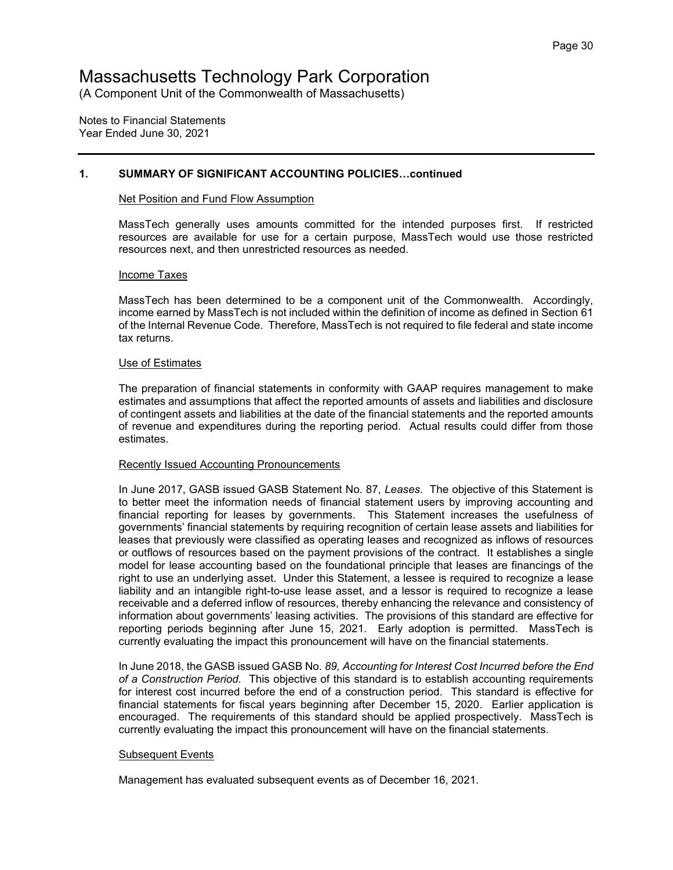(A Component Unit of the Commonwealth of Massachusetts)

Notes to Financial Statements Year Ended June 30, 2021

#### **1. SUMMARY OF SIGNIFICANT ACCOUNTING POLICIES…continued**

#### Net Position and Fund Flow Assumption

MassTech generally uses amounts committed for the intended purposes first. If restricted resources are available for use for a certain purpose, MassTech would use those restricted resources next, and then unrestricted resources as needed.

#### Income Taxes

MassTech has been determined to be a component unit of the Commonwealth. Accordingly, income earned by MassTech is not included within the definition of income as defined in Section 61 of the Internal Revenue Code. Therefore, MassTech is not required to file federal and state income tax returns.

#### Use of Estimates

The preparation of financial statements in conformity with GAAP requires management to make estimates and assumptions that affect the reported amounts of assets and liabilities and disclosure of contingent assets and liabilities at the date of the financial statements and the reported amounts of revenue and expenditures during the reporting period. Actual results could differ from those estimates.

#### Recently Issued Accounting Pronouncements

In June 2017, GASB issued GASB Statement No. 87, *Leases*. The objective of this Statement is to better meet the information needs of financial statement users by improving accounting and financial reporting for leases by governments. This Statement increases the usefulness of governments' financial statements by requiring recognition of certain lease assets and liabilities for leases that previously were classified as operating leases and recognized as inflows of resources or outflows of resources based on the payment provisions of the contract. It establishes a single model for lease accounting based on the foundational principle that leases are financings of the right to use an underlying asset. Under this Statement, a lessee is required to recognize a lease liability and an intangible right-to-use lease asset, and a lessor is required to recognize a lease receivable and a deferred inflow of resources, thereby enhancing the relevance and consistency of information about governments' leasing activities. The provisions of this standard are effective for reporting periods beginning after June 15, 2021. Early adoption is permitted. MassTech is currently evaluating the impact this pronouncement will have on the financial statements.

In June 2018, the GASB issued GASB No. *89, Accounting for Interest Cost Incurred before the End of a Construction Period.* This objective of this standard is to establish accounting requirements for interest cost incurred before the end of a construction period. This standard is effective for financial statements for fiscal years beginning after December 15, 2020. Earlier application is encouraged. The requirements of this standard should be applied prospectively. MassTech is currently evaluating the impact this pronouncement will have on the financial statements.

#### Subsequent Events

Management has evaluated subsequent events as of December 16, 2021.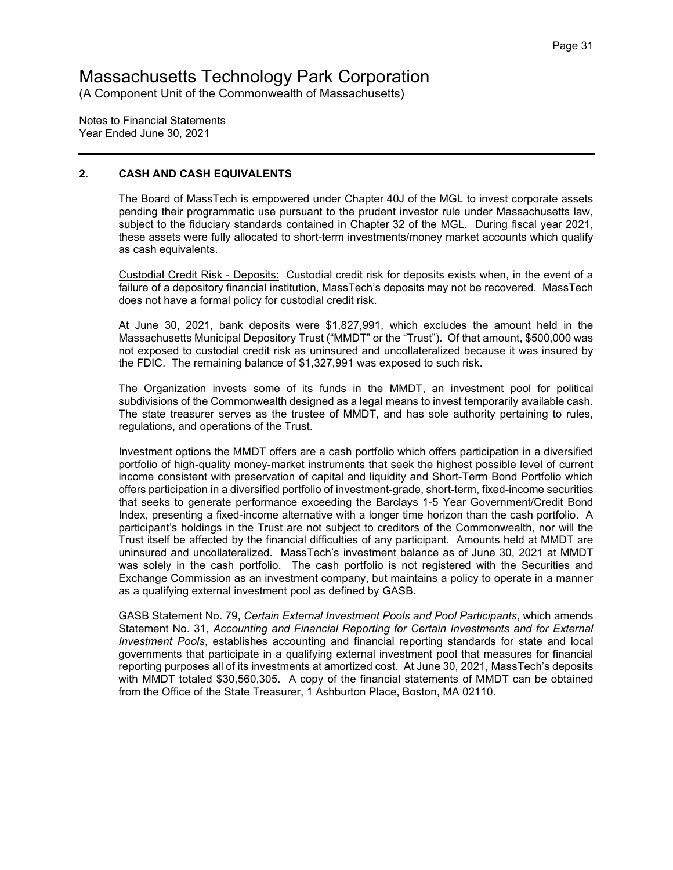(A Component Unit of the Commonwealth of Massachusetts)

Notes to Financial Statements Year Ended June 30, 2021

#### **2. CASH AND CASH EQUIVALENTS**

The Board of MassTech is empowered under Chapter 40J of the MGL to invest corporate assets pending their programmatic use pursuant to the prudent investor rule under Massachusetts law, subject to the fiduciary standards contained in Chapter 32 of the MGL. During fiscal year 2021, these assets were fully allocated to short-term investments/money market accounts which qualify as cash equivalents.

Custodial Credit Risk - Deposits: Custodial credit risk for deposits exists when, in the event of a failure of a depository financial institution, MassTech's deposits may not be recovered. MassTech does not have a formal policy for custodial credit risk.

At June 30, 2021, bank deposits were \$1,827,991, which excludes the amount held in the Massachusetts Municipal Depository Trust ("MMDT" or the "Trust"). Of that amount, \$500,000 was not exposed to custodial credit risk as uninsured and uncollateralized because it was insured by the FDIC. The remaining balance of \$1,327,991 was exposed to such risk.

The Organization invests some of its funds in the MMDT, an investment pool for political subdivisions of the Commonwealth designed as a legal means to invest temporarily available cash. The state treasurer serves as the trustee of MMDT, and has sole authority pertaining to rules, regulations, and operations of the Trust.

Investment options the MMDT offers are a cash portfolio which offers participation in a diversified portfolio of high-quality money-market instruments that seek the highest possible level of current income consistent with preservation of capital and liquidity and Short-Term Bond Portfolio which offers participation in a diversified portfolio of investment-grade, short-term, fixed-income securities that seeks to generate performance exceeding the Barclays 1-5 Year Government/Credit Bond Index, presenting a fixed-income alternative with a longer time horizon than the cash portfolio. A participant's holdings in the Trust are not subject to creditors of the Commonwealth, nor will the Trust itself be affected by the financial difficulties of any participant. Amounts held at MMDT are uninsured and uncollateralized. MassTech's investment balance as of June 30, 2021 at MMDT was solely in the cash portfolio. The cash portfolio is not registered with the Securities and Exchange Commission as an investment company, but maintains a policy to operate in a manner as a qualifying external investment pool as defined by GASB.

GASB Statement No. 79, *Certain External Investment Pools and Pool Participants*, which amends Statement No. 31, *Accounting and Financial Reporting for Certain Investments and for External Investment Pools*, establishes accounting and financial reporting standards for state and local governments that participate in a qualifying external investment pool that measures for financial reporting purposes all of its investments at amortized cost. At June 30, 2021, MassTech's deposits with MMDT totaled \$30,560,305. A copy of the financial statements of MMDT can be obtained from the Office of the State Treasurer, 1 Ashburton Place, Boston, MA 02110.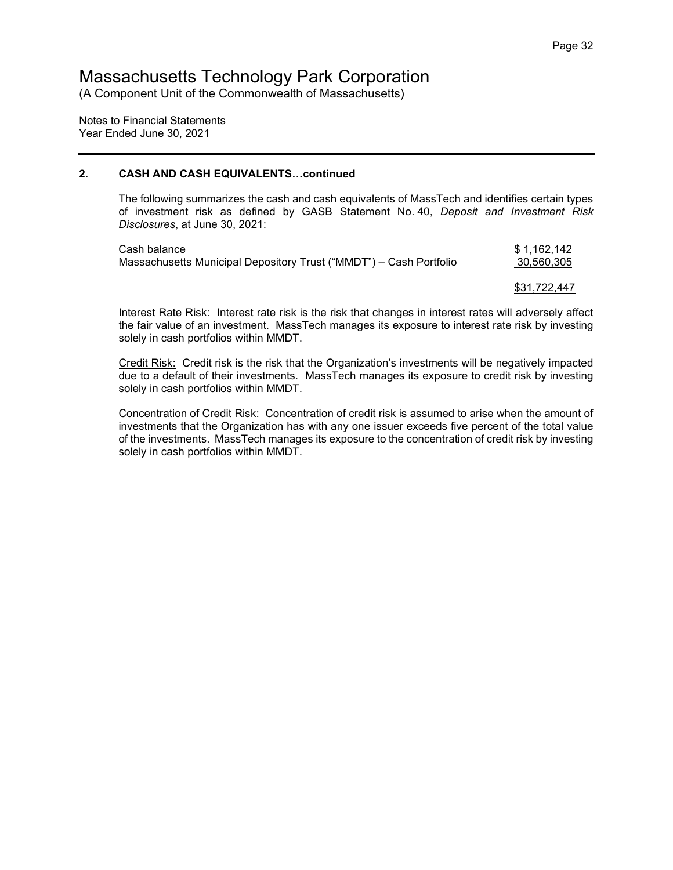(A Component Unit of the Commonwealth of Massachusetts)

Notes to Financial Statements Year Ended June 30, 2021

#### **2. CASH AND CASH EQUIVALENTS…continued**

The following summarizes the cash and cash equivalents of MassTech and identifies certain types of investment risk as defined by GASB Statement No. 40, *Deposit and Investment Risk Disclosures*, at June 30, 2021:

| Cash balance                                                       | \$1,162,142 |
|--------------------------------------------------------------------|-------------|
| Massachusetts Municipal Depository Trust ("MMDT") - Cash Portfolio | 30,560,305  |

\$31,722,447

Interest Rate Risk: Interest rate risk is the risk that changes in interest rates will adversely affect the fair value of an investment. MassTech manages its exposure to interest rate risk by investing solely in cash portfolios within MMDT.

Credit Risk: Credit risk is the risk that the Organization's investments will be negatively impacted due to a default of their investments. MassTech manages its exposure to credit risk by investing solely in cash portfolios within MMDT.

Concentration of Credit Risk: Concentration of credit risk is assumed to arise when the amount of investments that the Organization has with any one issuer exceeds five percent of the total value of the investments. MassTech manages its exposure to the concentration of credit risk by investing solely in cash portfolios within MMDT.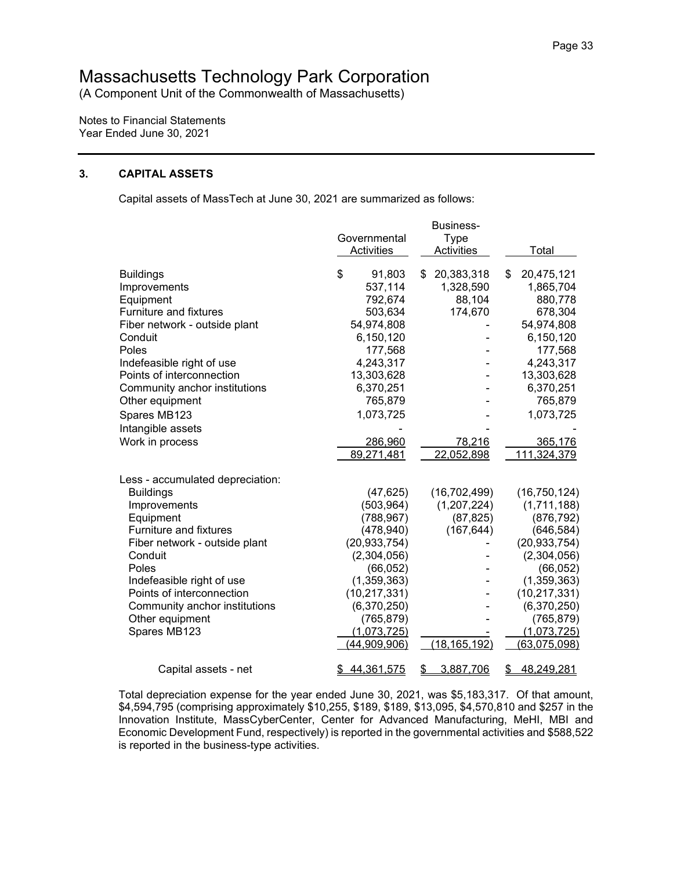(A Component Unit of the Commonwealth of Massachusetts)

Notes to Financial Statements Year Ended June 30, 2021

#### **3. CAPITAL ASSETS**

Capital assets of MassTech at June 30, 2021 are summarized as follows:

|                                  | Governmental<br><b>Activities</b> | <b>Business-</b><br><b>Type</b><br><b>Activities</b> | Total            |  |
|----------------------------------|-----------------------------------|------------------------------------------------------|------------------|--|
| <b>Buildings</b>                 | \$<br>91,803                      | 20,383,318<br>S                                      | 20,475,121<br>\$ |  |
| Improvements                     | 537,114                           | 1,328,590                                            | 1,865,704        |  |
| Equipment                        | 792,674                           | 88,104                                               | 880,778          |  |
| <b>Furniture and fixtures</b>    | 503,634                           | 174,670                                              | 678,304          |  |
| Fiber network - outside plant    | 54,974,808                        |                                                      | 54,974,808       |  |
| Conduit                          | 6,150,120                         |                                                      | 6,150,120        |  |
| Poles                            | 177,568                           |                                                      | 177,568          |  |
| Indefeasible right of use        | 4,243,317                         |                                                      | 4,243,317        |  |
| Points of interconnection        | 13,303,628                        |                                                      | 13,303,628       |  |
| Community anchor institutions    | 6,370,251                         |                                                      | 6,370,251        |  |
| Other equipment                  | 765,879                           |                                                      | 765,879          |  |
| Spares MB123                     | 1,073,725                         |                                                      | 1,073,725        |  |
| Intangible assets                |                                   |                                                      |                  |  |
| Work in process                  | 286,960                           | 78,216                                               | 365,176          |  |
|                                  | 89,271,481                        | 22,052,898                                           | 111,324,379      |  |
| Less - accumulated depreciation: |                                   |                                                      |                  |  |
| <b>Buildings</b>                 | (47, 625)                         | (16, 702, 499)                                       | (16, 750, 124)   |  |
| Improvements                     | (503, 964)                        | (1,207,224)                                          | (1,711,188)      |  |
| Equipment                        | (788, 967)                        | (87, 825)                                            | (876, 792)       |  |
| Furniture and fixtures           | (478, 940)                        | (167, 644)                                           | (646, 584)       |  |
| Fiber network - outside plant    | (20, 933, 754)                    |                                                      | (20, 933, 754)   |  |
| Conduit                          | (2,304,056)                       |                                                      | (2,304,056)      |  |
| Poles                            | (66, 052)                         |                                                      | (66, 052)        |  |
| Indefeasible right of use        | (1,359,363)                       |                                                      | (1,359,363)      |  |
| Points of interconnection        | (10, 217, 331)                    |                                                      | (10, 217, 331)   |  |
| Community anchor institutions    | (6,370,250)                       |                                                      | (6,370,250)      |  |
| Other equipment                  | (765, 879)                        |                                                      | (765, 879)       |  |
| Spares MB123                     | (1,073,725)                       |                                                      | (1,073,725)      |  |
|                                  | (44,909,906)                      | (18, 165, 192)                                       | (63,075,098)     |  |
| Capital assets - net             | 44,361,575                        | 3,887,706<br>\$                                      | 48,249,281<br>\$ |  |

Total depreciation expense for the year ended June 30, 2021, was \$5,183,317. Of that amount, \$4,594,795 (comprising approximately \$10,255, \$189, \$189, \$13,095, \$4,570,810 and \$257 in the Innovation Institute, MassCyberCenter, Center for Advanced Manufacturing, MeHI, MBI and Economic Development Fund, respectively) is reported in the governmental activities and \$588,522 is reported in the business-type activities.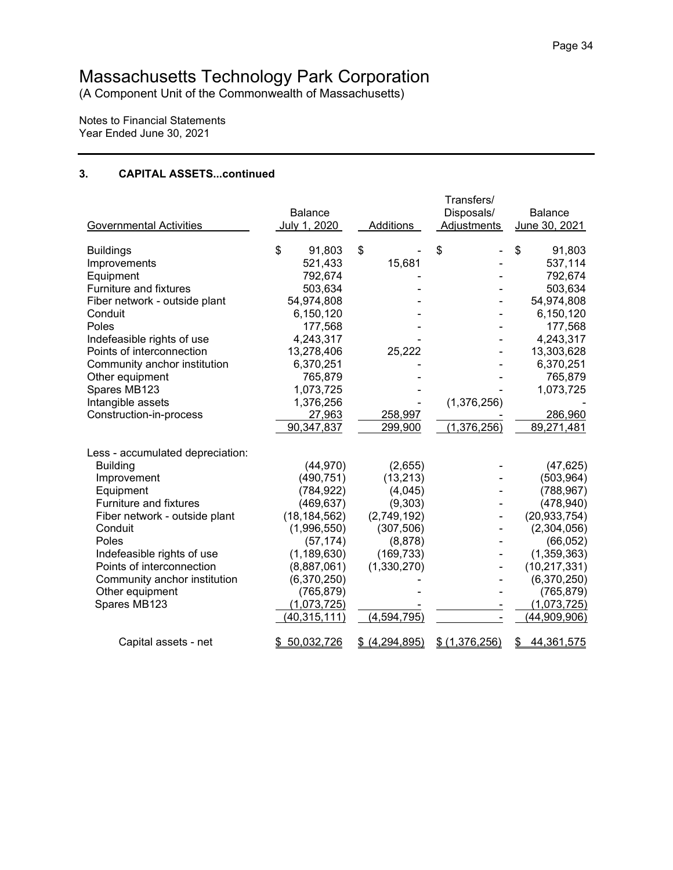(A Component Unit of the Commonwealth of Massachusetts)

Notes to Financial Statements Year Ended June 30, 2021

#### **3. CAPITAL ASSETS...continued**

| <b>Governmental Activities</b>   | <b>Balance</b><br>July 1, 2020 | Additions      | Transfers/<br>Disposals/<br>Adjustments | <b>Balance</b><br>June 30, 2021 |
|----------------------------------|--------------------------------|----------------|-----------------------------------------|---------------------------------|
| <b>Buildings</b>                 | \$<br>91,803                   | \$             | \$                                      | \$<br>91,803                    |
| Improvements                     | 521,433                        | 15,681         |                                         | 537,114                         |
| Equipment                        | 792,674                        |                |                                         | 792,674                         |
| Furniture and fixtures           | 503,634                        |                |                                         | 503,634                         |
| Fiber network - outside plant    | 54,974,808                     |                |                                         | 54,974,808                      |
| Conduit                          | 6,150,120                      |                |                                         | 6,150,120                       |
| Poles                            | 177,568                        |                |                                         | 177,568                         |
| Indefeasible rights of use       | 4,243,317                      |                |                                         | 4,243,317                       |
| Points of interconnection        | 13,278,406                     | 25,222         |                                         | 13,303,628                      |
| Community anchor institution     | 6,370,251                      |                |                                         | 6,370,251                       |
| Other equipment                  | 765,879                        |                |                                         | 765,879                         |
| Spares MB123                     | 1,073,725                      |                |                                         | 1,073,725                       |
| Intangible assets                | 1,376,256                      |                | (1,376,256)                             |                                 |
| Construction-in-process          | 27,963                         | 258,997        |                                         | 286,960                         |
|                                  | 90,347,837                     | 299,900        | (1,376,256)                             | 89,271,481                      |
| Less - accumulated depreciation: |                                |                |                                         |                                 |
| <b>Building</b>                  | (44, 970)                      | (2,655)        |                                         | (47, 625)                       |
| Improvement                      | (490, 751)                     | (13, 213)      |                                         | (503, 964)                      |
| Equipment                        | (784,922)                      | (4,045)        |                                         | (788, 967)                      |
| Furniture and fixtures           | (469, 637)                     | (9,303)        |                                         | (478, 940)                      |
| Fiber network - outside plant    | (18, 184, 562)                 | (2,749,192)    |                                         | (20, 933, 754)                  |
| Conduit                          | (1,996,550)                    | (307, 506)     |                                         | (2,304,056)                     |
| Poles                            | (57, 174)                      | (8,878)        |                                         | (66, 052)                       |
| Indefeasible rights of use       | (1, 189, 630)                  | (169, 733)     |                                         | (1,359,363)                     |
| Points of interconnection        | (8,887,061)                    | (1,330,270)    |                                         | (10, 217, 331)                  |
| Community anchor institution     | (6,370,250)                    |                |                                         | (6,370,250)                     |
| Other equipment                  | (765, 879)                     |                |                                         | (765, 879)                      |
| Spares MB123                     | (1,073,725)                    |                |                                         | (1,073,725)                     |
|                                  | (40, 315, 111)                 | (4, 594, 795)  |                                         | (44,909,906)                    |
| Capital assets - net             | \$50,032,726                   | \$ (4,294,895) | \$(1,376,256)                           | 44,361,575<br>\$                |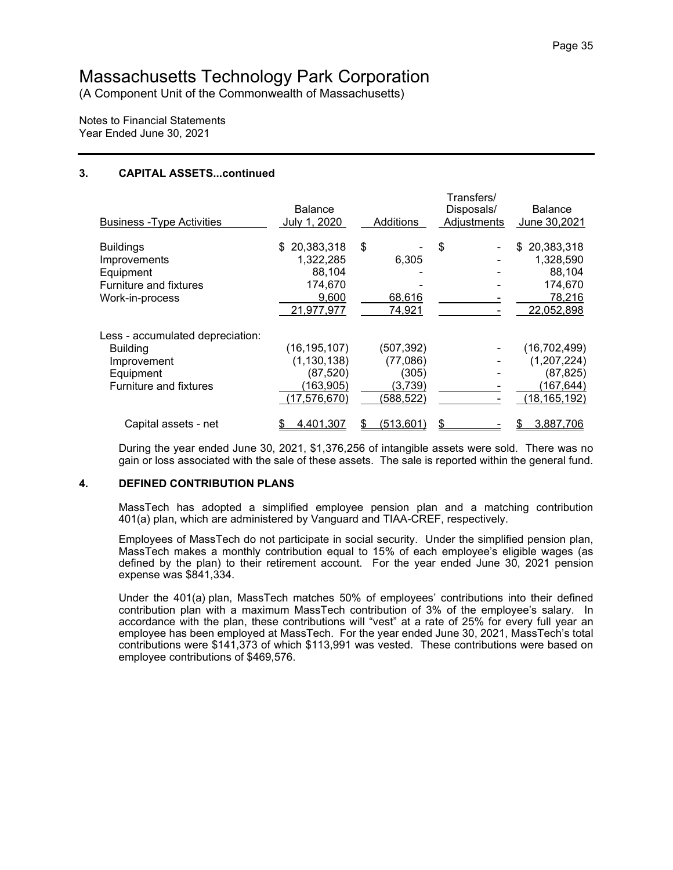(A Component Unit of the Commonwealth of Massachusetts)

Notes to Financial Statements Year Ended June 30, 2021

#### **3. CAPITAL ASSETS...continued**

|                                   |                      |                  | Transfers/  |                 |
|-----------------------------------|----------------------|------------------|-------------|-----------------|
|                                   | <b>Balance</b>       |                  | Disposals/  | <b>Balance</b>  |
| <b>Business - Type Activities</b> | July 1, 2020         | Additions        | Adjustments | June 30,2021    |
| <b>Buildings</b>                  | 20,383,318<br>\$.    | \$               | \$          | 20,383,318<br>S |
| Improvements                      | 1,322,285            | 6,305            |             | 1,328,590       |
| Equipment                         | 88,104               |                  |             | 88,104          |
| <b>Furniture and fixtures</b>     | 174,670              |                  |             | 174,670         |
| Work-in-process                   | 9,600                | 68,616           |             | 78,216          |
|                                   | 21,977,977           | 74,921           |             | 22,052,898      |
| Less - accumulated depreciation:  |                      |                  |             |                 |
| <b>Building</b>                   | (16, 195, 107)       | (507, 392)       |             | (16, 702, 499)  |
| Improvement                       | (1, 130, 138)        | (77,086)         |             | (1,207,224)     |
| Equipment                         | (87, 520)            | (305)            |             | (87, 825)       |
| Furniture and fixtures            | (163, 905)           | (3,739)          |             | (167, 644)      |
|                                   | (1 <u>7,576,670)</u> | <u>(588,522)</u> |             | (18,165,192)    |
| Capital assets - net              | 4,401,307            | (513,601)<br>\$  | \$          | 3,887,706       |

During the year ended June 30, 2021, \$1,376,256 of intangible assets were sold. There was no gain or loss associated with the sale of these assets. The sale is reported within the general fund.

#### **4. DEFINED CONTRIBUTION PLANS**

MassTech has adopted a simplified employee pension plan and a matching contribution 401(a) plan, which are administered by Vanguard and TIAA-CREF, respectively.

Employees of MassTech do not participate in social security. Under the simplified pension plan, MassTech makes a monthly contribution equal to 15% of each employee's eligible wages (as defined by the plan) to their retirement account. For the year ended June 30, 2021 pension expense was \$841,334.

Under the 401(a) plan, MassTech matches 50% of employees' contributions into their defined contribution plan with a maximum MassTech contribution of 3% of the employee's salary. In accordance with the plan, these contributions will "vest" at a rate of 25% for every full year an employee has been employed at MassTech. For the year ended June 30, 2021, MassTech's total contributions were \$141,373 of which \$113,991 was vested. These contributions were based on employee contributions of \$469,576.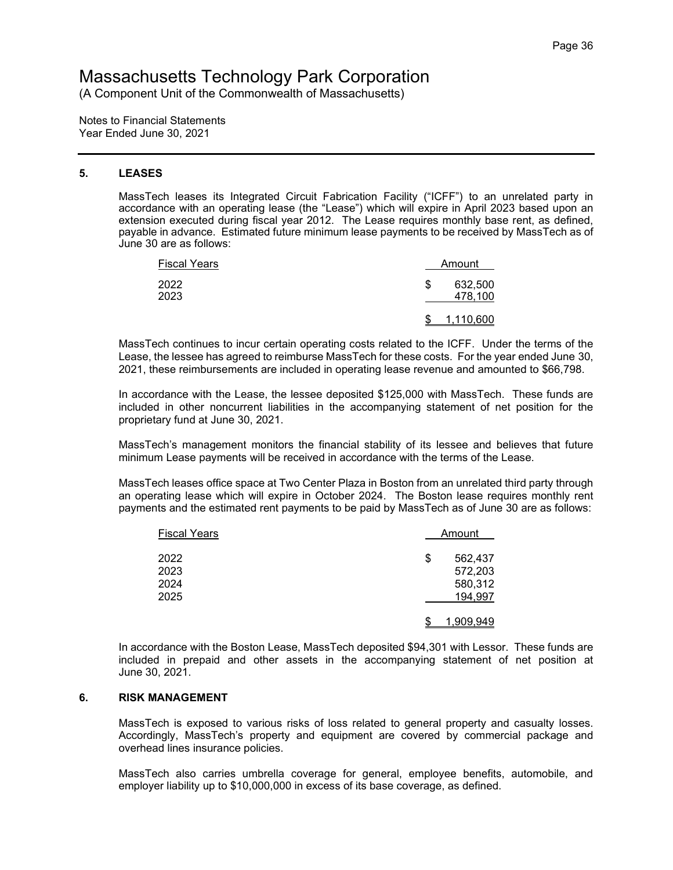(A Component Unit of the Commonwealth of Massachusetts)

Notes to Financial Statements Year Ended June 30, 2021

#### **5. LEASES**

MassTech leases its Integrated Circuit Fabrication Facility ("ICFF") to an unrelated party in accordance with an operating lease (the "Lease") which will expire in April 2023 based upon an extension executed during fiscal year 2012. The Lease requires monthly base rent, as defined, payable in advance. Estimated future minimum lease payments to be received by MassTech as of June 30 are as follows:

| <b>Fiscal Years</b> |   | Amount             |
|---------------------|---|--------------------|
| 2022<br>2023        | S | 632,500<br>478,100 |
|                     |   | 1.110.600          |

MassTech continues to incur certain operating costs related to the ICFF. Under the terms of the Lease, the lessee has agreed to reimburse MassTech for these costs. For the year ended June 30, 2021, these reimbursements are included in operating lease revenue and amounted to \$66,798.

In accordance with the Lease, the lessee deposited \$125,000 with MassTech. These funds are included in other noncurrent liabilities in the accompanying statement of net position for the proprietary fund at June 30, 2021.

MassTech's management monitors the financial stability of its lessee and believes that future minimum Lease payments will be received in accordance with the terms of the Lease.

MassTech leases office space at Two Center Plaza in Boston from an unrelated third party through an operating lease which will expire in October 2024. The Boston lease requires monthly rent payments and the estimated rent payments to be paid by MassTech as of June 30 are as follows:

| <b>Fiscal Years</b> |    | Amount             |  |  |
|---------------------|----|--------------------|--|--|
| 2022<br>2023        | \$ | 562,437<br>572,203 |  |  |
| 2024<br>2025        |    | 580,312<br>194.997 |  |  |
|                     | S  | 1.909.949          |  |  |

In accordance with the Boston Lease, MassTech deposited \$94,301 with Lessor. These funds are included in prepaid and other assets in the accompanying statement of net position at June 30, 2021.

#### **6. RISK MANAGEMENT**

MassTech is exposed to various risks of loss related to general property and casualty losses. Accordingly, MassTech's property and equipment are covered by commercial package and overhead lines insurance policies.

MassTech also carries umbrella coverage for general, employee benefits, automobile, and employer liability up to \$10,000,000 in excess of its base coverage, as defined.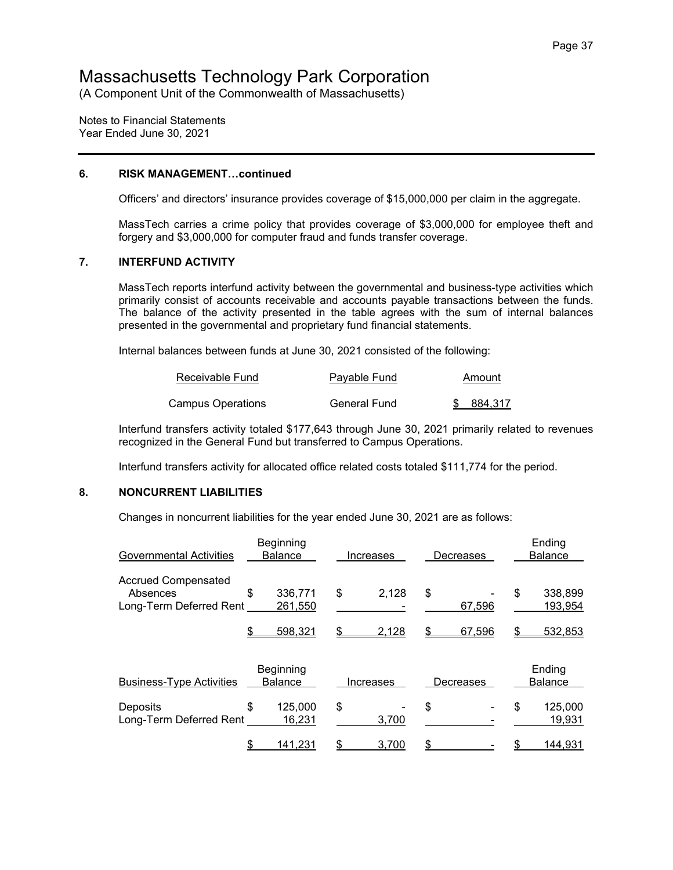(A Component Unit of the Commonwealth of Massachusetts)

Notes to Financial Statements Year Ended June 30, 2021

#### **6. RISK MANAGEMENT…continued**

Officers' and directors' insurance provides coverage of \$15,000,000 per claim in the aggregate.

MassTech carries a crime policy that provides coverage of \$3,000,000 for employee theft and forgery and \$3,000,000 for computer fraud and funds transfer coverage.

#### **7. INTERFUND ACTIVITY**

MassTech reports interfund activity between the governmental and business-type activities which primarily consist of accounts receivable and accounts payable transactions between the funds. The balance of the activity presented in the table agrees with the sum of internal balances presented in the governmental and proprietary fund financial statements.

Internal balances between funds at June 30, 2021 consisted of the following:

| Receivable Fund          | Payable Fund | Amount     |
|--------------------------|--------------|------------|
| <b>Campus Operations</b> | General Fund | \$ 884.317 |

Interfund transfers activity totaled \$177,643 through June 30, 2021 primarily related to revenues recognized in the General Fund but transferred to Campus Operations.

Interfund transfers activity for allocated office related costs totaled \$111,774 for the period.

#### **8. NONCURRENT LIABILITIES**

Changes in noncurrent liabilities for the year ended June 30, 2021 are as follows:

| <b>Governmental Activities</b>                                          | Beginning<br><b>Balance</b> | <b>Increases</b> |       | Decreases    | Ending<br><b>Balance</b> |
|-------------------------------------------------------------------------|-----------------------------|------------------|-------|--------------|--------------------------|
| <b>Accrued Compensated</b><br>\$<br>Absences<br>Long-Term Deferred Rent | 336,771<br>261,550          | \$               | 2,128 | \$<br>67,596 | \$<br>338,899<br>193,954 |
|                                                                         | 598,321                     |                  | 2,128 | 67,596       | 532,853                  |
| <b>Business-Type Activities</b>                                         | Beginning<br><b>Balance</b> | Increases        |       | Decreases    | Ending<br><b>Balance</b> |
| \$<br>Deposits<br>Long-Term Deferred Rent                               | 125,000<br>16,231           | \$               | 3,700 | \$           | \$<br>125,000<br>19,931  |
|                                                                         | 141,231                     |                  | 3,700 |              | 144,931                  |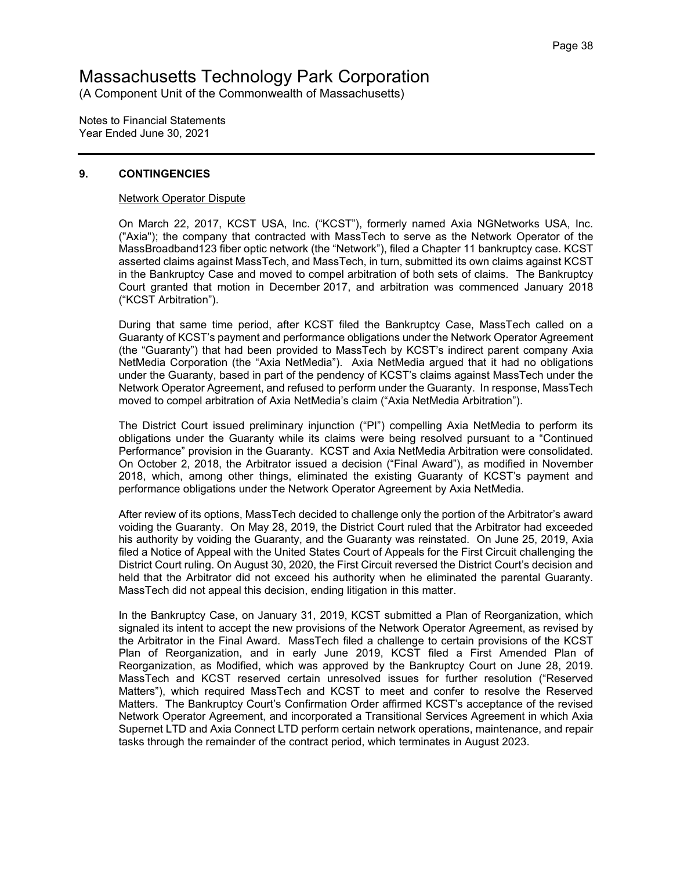(A Component Unit of the Commonwealth of Massachusetts)

Notes to Financial Statements Year Ended June 30, 2021

#### **9. CONTINGENCIES**

#### Network Operator Dispute

On March 22, 2017, KCST USA, Inc. ("KCST"), formerly named Axia NGNetworks USA, Inc. ("Axia"); the company that contracted with MassTech to serve as the Network Operator of the MassBroadband123 fiber optic network (the "Network"), filed a Chapter 11 bankruptcy case. KCST asserted claims against MassTech, and MassTech, in turn, submitted its own claims against KCST in the Bankruptcy Case and moved to compel arbitration of both sets of claims. The Bankruptcy Court granted that motion in December 2017, and arbitration was commenced January 2018 ("KCST Arbitration").

During that same time period, after KCST filed the Bankruptcy Case, MassTech called on a Guaranty of KCST's payment and performance obligations under the Network Operator Agreement (the "Guaranty") that had been provided to MassTech by KCST's indirect parent company Axia NetMedia Corporation (the "Axia NetMedia"). Axia NetMedia argued that it had no obligations under the Guaranty, based in part of the pendency of KCST's claims against MassTech under the Network Operator Agreement, and refused to perform under the Guaranty. In response, MassTech moved to compel arbitration of Axia NetMedia's claim ("Axia NetMedia Arbitration").

The District Court issued preliminary injunction ("PI") compelling Axia NetMedia to perform its obligations under the Guaranty while its claims were being resolved pursuant to a "Continued Performance" provision in the Guaranty. KCST and Axia NetMedia Arbitration were consolidated. On October 2, 2018, the Arbitrator issued a decision ("Final Award"), as modified in November 2018, which, among other things, eliminated the existing Guaranty of KCST's payment and performance obligations under the Network Operator Agreement by Axia NetMedia.

After review of its options, MassTech decided to challenge only the portion of the Arbitrator's award voiding the Guaranty. On May 28, 2019, the District Court ruled that the Arbitrator had exceeded his authority by voiding the Guaranty, and the Guaranty was reinstated. On June 25, 2019, Axia filed a Notice of Appeal with the United States Court of Appeals for the First Circuit challenging the District Court ruling. On August 30, 2020, the First Circuit reversed the District Court's decision and held that the Arbitrator did not exceed his authority when he eliminated the parental Guaranty. MassTech did not appeal this decision, ending litigation in this matter.

In the Bankruptcy Case, on January 31, 2019, KCST submitted a Plan of Reorganization, which signaled its intent to accept the new provisions of the Network Operator Agreement, as revised by the Arbitrator in the Final Award. MassTech filed a challenge to certain provisions of the KCST Plan of Reorganization, and in early June 2019, KCST filed a First Amended Plan of Reorganization, as Modified, which was approved by the Bankruptcy Court on June 28, 2019. MassTech and KCST reserved certain unresolved issues for further resolution ("Reserved Matters"), which required MassTech and KCST to meet and confer to resolve the Reserved Matters. The Bankruptcy Court's Confirmation Order affirmed KCST's acceptance of the revised Network Operator Agreement, and incorporated a Transitional Services Agreement in which Axia Supernet LTD and Axia Connect LTD perform certain network operations, maintenance, and repair tasks through the remainder of the contract period, which terminates in August 2023.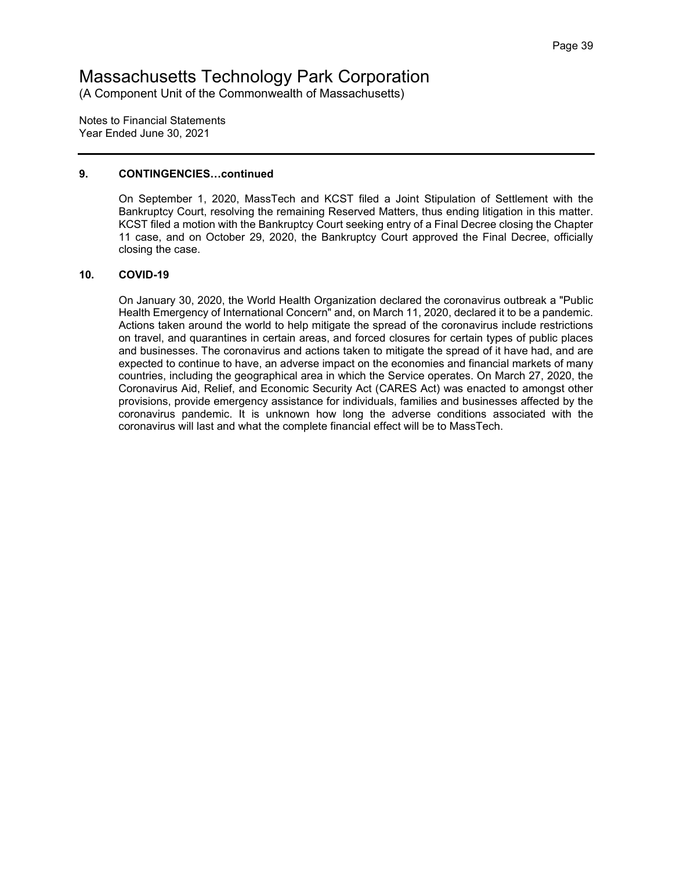(A Component Unit of the Commonwealth of Massachusetts)

Notes to Financial Statements Year Ended June 30, 2021

#### **9. CONTINGENCIES…continued**

On September 1, 2020, MassTech and KCST filed a Joint Stipulation of Settlement with the Bankruptcy Court, resolving the remaining Reserved Matters, thus ending litigation in this matter. KCST filed a motion with the Bankruptcy Court seeking entry of a Final Decree closing the Chapter 11 case, and on October 29, 2020, the Bankruptcy Court approved the Final Decree, officially closing the case.

#### **10. COVID-19**

On January 30, 2020, the World Health Organization declared the coronavirus outbreak a "Public Health Emergency of International Concern" and, on March 11, 2020, declared it to be a pandemic. Actions taken around the world to help mitigate the spread of the coronavirus include restrictions on travel, and quarantines in certain areas, and forced closures for certain types of public places and businesses. The coronavirus and actions taken to mitigate the spread of it have had, and are expected to continue to have, an adverse impact on the economies and financial markets of many countries, including the geographical area in which the Service operates. On March 27, 2020, the Coronavirus Aid, Relief, and Economic Security Act (CARES Act) was enacted to amongst other provisions, provide emergency assistance for individuals, families and businesses affected by the coronavirus pandemic. It is unknown how long the adverse conditions associated with the coronavirus will last and what the complete financial effect will be to MassTech.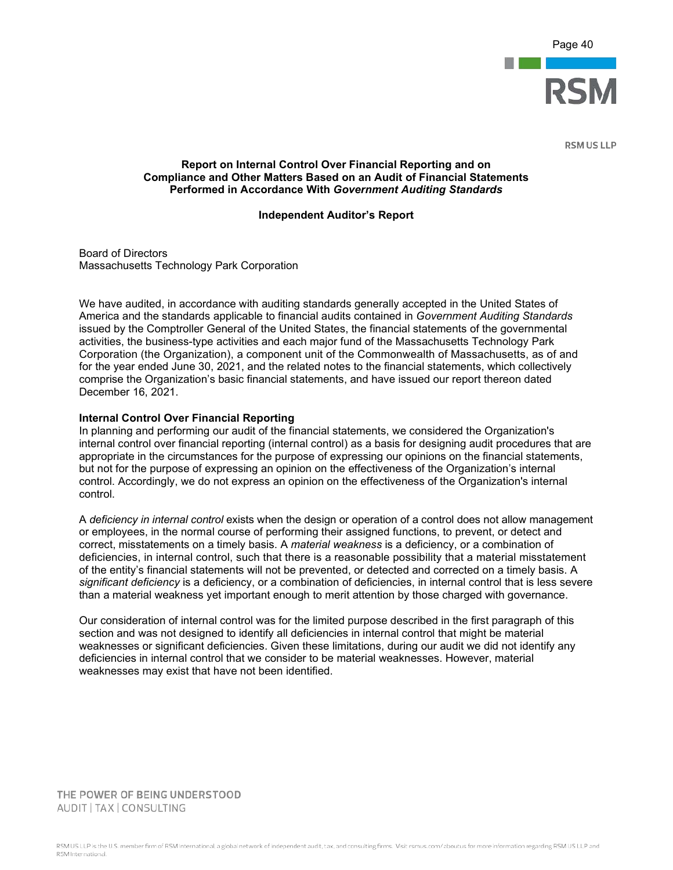

**RSM US LLP** 

#### **Report on Internal Control Over Financial Reporting and on Compliance and Other Matters Based on an Audit of Financial Statements Performed in Accordance With** *Government Auditing Standards*

#### **Independent Auditor's Report**

Board of Directors Massachusetts Technology Park Corporation

We have audited, in accordance with auditing standards generally accepted in the United States of America and the standards applicable to financial audits contained in *Government Auditing Standards* issued by the Comptroller General of the United States, the financial statements of the governmental activities, the business-type activities and each major fund of the Massachusetts Technology Park Corporation (the Organization), a component unit of the Commonwealth of Massachusetts, as of and for the year ended June 30, 2021, and the related notes to the financial statements, which collectively comprise the Organization's basic financial statements, and have issued our report thereon dated December 16, 2021.

#### **Internal Control Over Financial Reporting**

In planning and performing our audit of the financial statements, we considered the Organization's internal control over financial reporting (internal control) as a basis for designing audit procedures that are appropriate in the circumstances for the purpose of expressing our opinions on the financial statements, but not for the purpose of expressing an opinion on the effectiveness of the Organization's internal control. Accordingly, we do not express an opinion on the effectiveness of the Organization's internal control.

A *deficiency in internal control* exists when the design or operation of a control does not allow management or employees, in the normal course of performing their assigned functions, to prevent, or detect and correct, misstatements on a timely basis. A *material weakness* is a deficiency, or a combination of deficiencies, in internal control, such that there is a reasonable possibility that a material misstatement of the entity's financial statements will not be prevented, or detected and corrected on a timely basis. A *significant deficiency* is a deficiency, or a combination of deficiencies, in internal control that is less severe than a material weakness yet important enough to merit attention by those charged with governance.

Our consideration of internal control was for the limited purpose described in the first paragraph of this section and was not designed to identify all deficiencies in internal control that might be material weaknesses or significant deficiencies. Given these limitations, during our audit we did not identify any deficiencies in internal control that we consider to be material weaknesses. However, material weaknesses may exist that have not been identified.

THE POWER OF BEING UNDERSTOOD AUDIT | TAX | CONSULTING